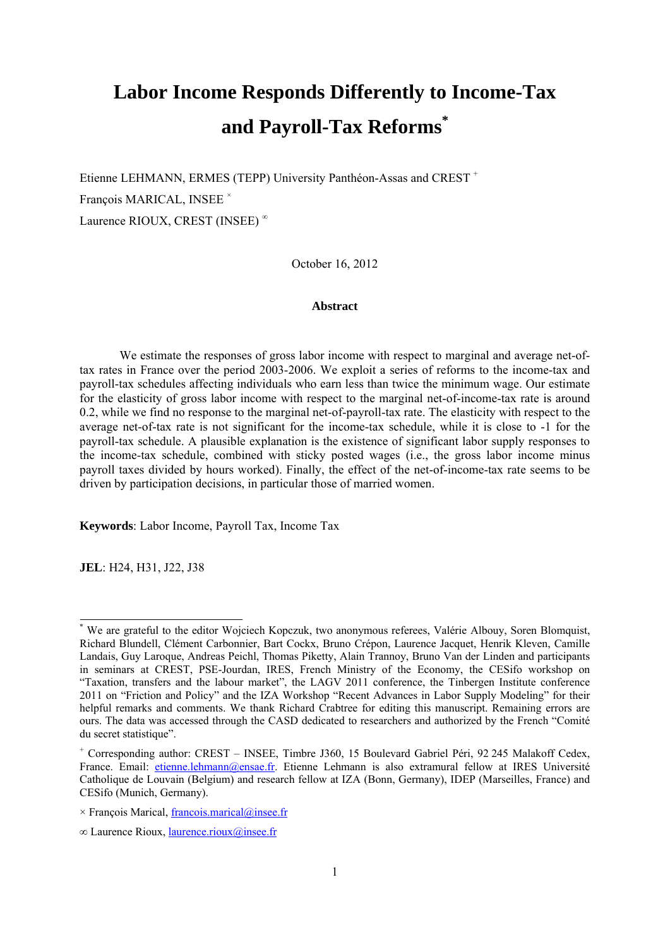# **Labor Income Responds Differently to Income-Tax and Payroll-Tax Reforms\***

Etienne LEHMANN, ERMES (TEPP) University Panthéon-Assas and CREST + François MARICAL, INSEE  $*$ Laurence RIOUX, CREST (INSEE)<sup>∞</sup>

October 16, 2012

#### **Abstract**

We estimate the responses of gross labor income with respect to marginal and average net-oftax rates in France over the period 2003-2006. We exploit a series of reforms to the income-tax and payroll-tax schedules affecting individuals who earn less than twice the minimum wage. Our estimate for the elasticity of gross labor income with respect to the marginal net-of-income-tax rate is around 0.2, while we find no response to the marginal net-of-payroll-tax rate. The elasticity with respect to the average net-of-tax rate is not significant for the income-tax schedule, while it is close to -1 for the payroll-tax schedule. A plausible explanation is the existence of significant labor supply responses to the income-tax schedule, combined with sticky posted wages (i.e., the gross labor income minus payroll taxes divided by hours worked). Finally, the effect of the net-of-income-tax rate seems to be driven by participation decisions, in particular those of married women.

**Keywords**: Labor Income, Payroll Tax, Income Tax

**JEL**: H24, H31, J22, J38

<sup>\*</sup> We are grateful to the editor Wojciech Kopczuk, two anonymous referees, Valérie Albouy, Soren Blomquist, Richard Blundell, Clément Carbonnier, Bart Cockx, Bruno Crépon, Laurence Jacquet, Henrik Kleven, Camille Landais, Guy Laroque, Andreas Peichl, Thomas Piketty, Alain Trannoy, Bruno Van der Linden and participants in seminars at CREST, PSE-Jourdan, IRES, French Ministry of the Economy, the CESifo workshop on "Taxation, transfers and the labour market", the LAGV 2011 conference, the Tinbergen Institute conference 2011 on "Friction and Policy" and the IZA Workshop "Recent Advances in Labor Supply Modeling" for their helpful remarks and comments. We thank Richard Crabtree for editing this manuscript. Remaining errors are ours. The data was accessed through the CASD dedicated to researchers and authorized by the French "Comité du secret statistique".

<sup>+</sup> Corresponding author: CREST – INSEE, Timbre J360, 15 Boulevard Gabriel Péri, 92 245 Malakoff Cedex, France. Email: etienne.lehmann@ensae.fr. Etienne Lehmann is also extramural fellow at IRES Université Catholique de Louvain (Belgium) and research fellow at IZA (Bonn, Germany), IDEP (Marseilles, France) and CESifo (Munich, Germany).

 $\times$  François Marical, françois marical@insee.fr

<sup>∞</sup> Laurence Rioux, laurence.rioux@insee.fr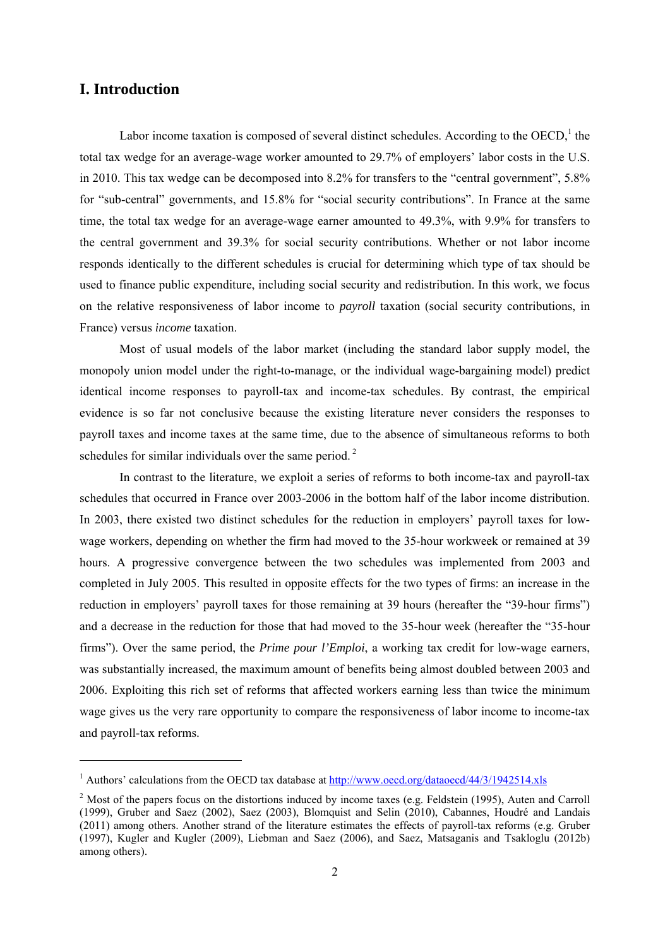# **I. Introduction**

1

Labor income taxation is composed of several distinct schedules. According to the OECD,<sup>1</sup> the total tax wedge for an average-wage worker amounted to 29.7% of employers' labor costs in the U.S. in 2010. This tax wedge can be decomposed into 8.2% for transfers to the "central government", 5.8% for "sub-central" governments, and 15.8% for "social security contributions". In France at the same time, the total tax wedge for an average-wage earner amounted to 49.3%, with 9.9% for transfers to the central government and 39.3% for social security contributions. Whether or not labor income responds identically to the different schedules is crucial for determining which type of tax should be used to finance public expenditure, including social security and redistribution. In this work, we focus on the relative responsiveness of labor income to *payroll* taxation (social security contributions, in France) versus *income* taxation.

Most of usual models of the labor market (including the standard labor supply model, the monopoly union model under the right-to-manage, or the individual wage-bargaining model) predict identical income responses to payroll-tax and income-tax schedules. By contrast, the empirical evidence is so far not conclusive because the existing literature never considers the responses to payroll taxes and income taxes at the same time, due to the absence of simultaneous reforms to both schedules for similar individuals over the same period.<sup>2</sup>

In contrast to the literature, we exploit a series of reforms to both income-tax and payroll-tax schedules that occurred in France over 2003-2006 in the bottom half of the labor income distribution. In 2003, there existed two distinct schedules for the reduction in employers' payroll taxes for lowwage workers, depending on whether the firm had moved to the 35-hour workweek or remained at 39 hours. A progressive convergence between the two schedules was implemented from 2003 and completed in July 2005. This resulted in opposite effects for the two types of firms: an increase in the reduction in employers' payroll taxes for those remaining at 39 hours (hereafter the "39-hour firms") and a decrease in the reduction for those that had moved to the 35-hour week (hereafter the "35-hour firms"). Over the same period, the *Prime pour l'Emploi*, a working tax credit for low-wage earners, was substantially increased, the maximum amount of benefits being almost doubled between 2003 and 2006. Exploiting this rich set of reforms that affected workers earning less than twice the minimum wage gives us the very rare opportunity to compare the responsiveness of labor income to income-tax and payroll-tax reforms.

<sup>&</sup>lt;sup>1</sup> Authors' calculations from the OECD tax database at http://www.oecd.org/dataoecd/44/3/1942514.xls

<sup>&</sup>lt;sup>2</sup> Most of the papers focus on the distortions induced by income taxes (e.g. Feldstein (1995), Auten and Carroll (1999), Gruber and Saez (2002), Saez (2003), Blomquist and Selin (2010), Cabannes, Houdré and Landais (2011) among others. Another strand of the literature estimates the effects of payroll-tax reforms (e.g. Gruber (1997), Kugler and Kugler (2009), Liebman and Saez (2006), and Saez, Matsaganis and Tsakloglu (2012b) among others).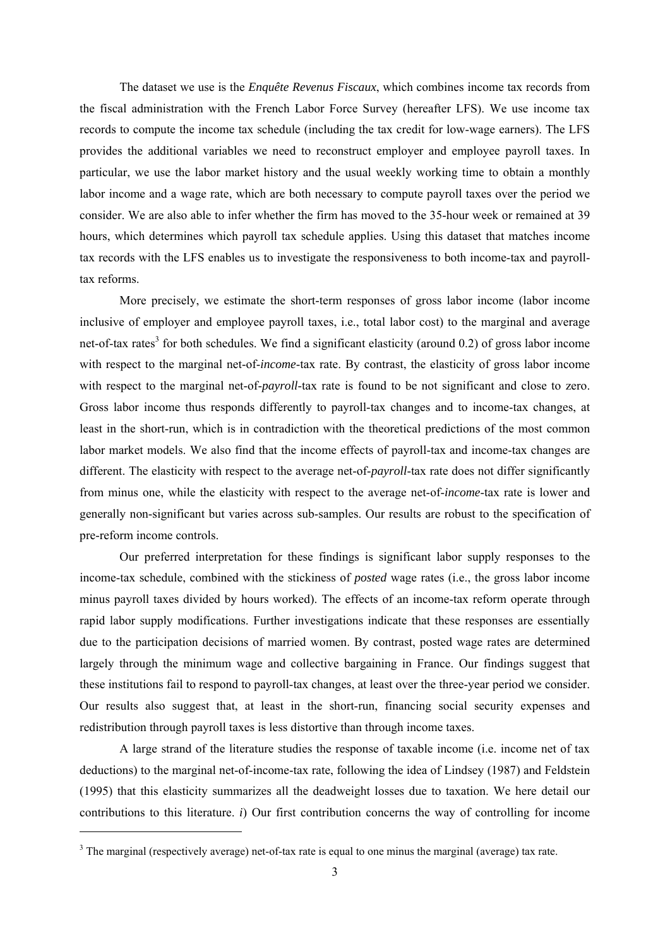The dataset we use is the *Enquête Revenus Fiscaux*, which combines income tax records from the fiscal administration with the French Labor Force Survey (hereafter LFS). We use income tax records to compute the income tax schedule (including the tax credit for low-wage earners). The LFS provides the additional variables we need to reconstruct employer and employee payroll taxes. In particular, we use the labor market history and the usual weekly working time to obtain a monthly labor income and a wage rate, which are both necessary to compute payroll taxes over the period we consider. We are also able to infer whether the firm has moved to the 35-hour week or remained at 39 hours, which determines which payroll tax schedule applies. Using this dataset that matches income tax records with the LFS enables us to investigate the responsiveness to both income-tax and payrolltax reforms.

More precisely, we estimate the short-term responses of gross labor income (labor income inclusive of employer and employee payroll taxes, i.e., total labor cost) to the marginal and average net-of-tax rates<sup>3</sup> for both schedules. We find a significant elasticity (around 0.2) of gross labor income with respect to the marginal net-of-*income*-tax rate. By contrast, the elasticity of gross labor income with respect to the marginal net-of-*payroll*-tax rate is found to be not significant and close to zero. Gross labor income thus responds differently to payroll-tax changes and to income-tax changes, at least in the short-run, which is in contradiction with the theoretical predictions of the most common labor market models. We also find that the income effects of payroll-tax and income-tax changes are different. The elasticity with respect to the average net-of-*payroll*-tax rate does not differ significantly from minus one, while the elasticity with respect to the average net-of-*income*-tax rate is lower and generally non-significant but varies across sub-samples. Our results are robust to the specification of pre-reform income controls.

Our preferred interpretation for these findings is significant labor supply responses to the income-tax schedule, combined with the stickiness of *posted* wage rates (i.e., the gross labor income minus payroll taxes divided by hours worked). The effects of an income-tax reform operate through rapid labor supply modifications. Further investigations indicate that these responses are essentially due to the participation decisions of married women. By contrast, posted wage rates are determined largely through the minimum wage and collective bargaining in France. Our findings suggest that these institutions fail to respond to payroll-tax changes, at least over the three-year period we consider. Our results also suggest that, at least in the short-run, financing social security expenses and redistribution through payroll taxes is less distortive than through income taxes.

A large strand of the literature studies the response of taxable income (i.e. income net of tax deductions) to the marginal net-of-income-tax rate, following the idea of Lindsey (1987) and Feldstein (1995) that this elasticity summarizes all the deadweight losses due to taxation. We here detail our contributions to this literature. *i*) Our first contribution concerns the way of controlling for income

1

<sup>&</sup>lt;sup>3</sup> The marginal (respectively average) net-of-tax rate is equal to one minus the marginal (average) tax rate.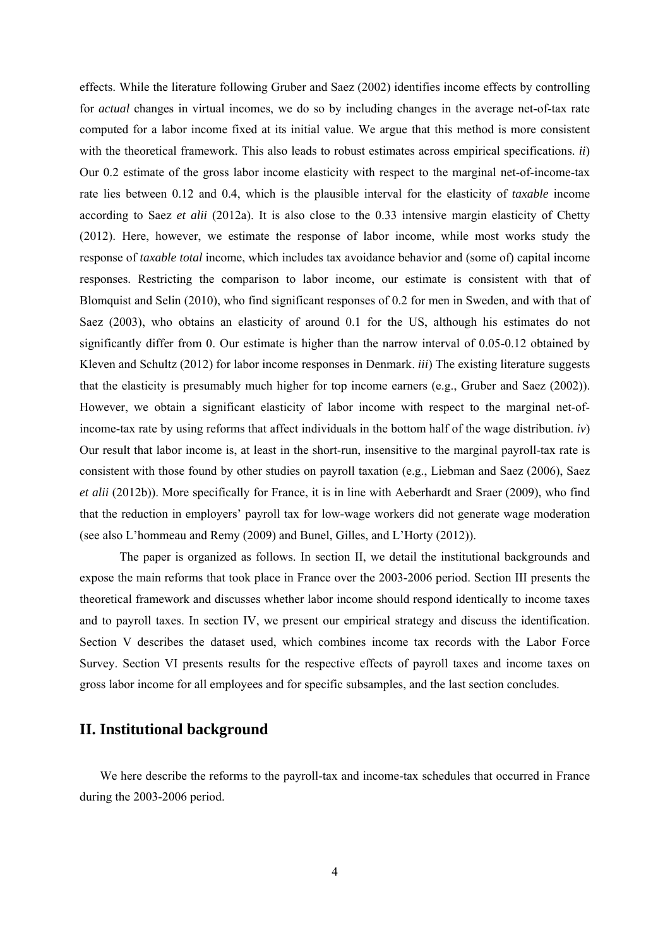effects. While the literature following Gruber and Saez (2002) identifies income effects by controlling for *actual* changes in virtual incomes, we do so by including changes in the average net-of-tax rate computed for a labor income fixed at its initial value. We argue that this method is more consistent with the theoretical framework. This also leads to robust estimates across empirical specifications. *ii*) Our 0.2 estimate of the gross labor income elasticity with respect to the marginal net-of-income-tax rate lies between 0.12 and 0.4, which is the plausible interval for the elasticity of *taxable* income according to Saez *et alii* (2012a). It is also close to the 0.33 intensive margin elasticity of Chetty (2012). Here, however, we estimate the response of labor income, while most works study the response of *taxable total* income, which includes tax avoidance behavior and (some of) capital income responses. Restricting the comparison to labor income, our estimate is consistent with that of Blomquist and Selin (2010), who find significant responses of 0.2 for men in Sweden, and with that of Saez (2003), who obtains an elasticity of around 0.1 for the US, although his estimates do not significantly differ from 0. Our estimate is higher than the narrow interval of 0.05-0.12 obtained by Kleven and Schultz (2012) for labor income responses in Denmark. *iii*) The existing literature suggests that the elasticity is presumably much higher for top income earners (e.g., Gruber and Saez (2002)). However, we obtain a significant elasticity of labor income with respect to the marginal net-ofincome-tax rate by using reforms that affect individuals in the bottom half of the wage distribution.  $iv$ ) Our result that labor income is, at least in the short-run, insensitive to the marginal payroll-tax rate is consistent with those found by other studies on payroll taxation (e.g., Liebman and Saez (2006), Saez *et alii* (2012b)). More specifically for France, it is in line with Aeberhardt and Sraer (2009), who find that the reduction in employers' payroll tax for low-wage workers did not generate wage moderation (see also L'hommeau and Remy (2009) and Bunel, Gilles, and L'Horty (2012)).

The paper is organized as follows. In section II, we detail the institutional backgrounds and expose the main reforms that took place in France over the 2003-2006 period. Section III presents the theoretical framework and discusses whether labor income should respond identically to income taxes and to payroll taxes. In section IV, we present our empirical strategy and discuss the identification. Section V describes the dataset used, which combines income tax records with the Labor Force Survey. Section VI presents results for the respective effects of payroll taxes and income taxes on gross labor income for all employees and for specific subsamples, and the last section concludes.

# **II. Institutional background**

We here describe the reforms to the payroll-tax and income-tax schedules that occurred in France during the 2003-2006 period.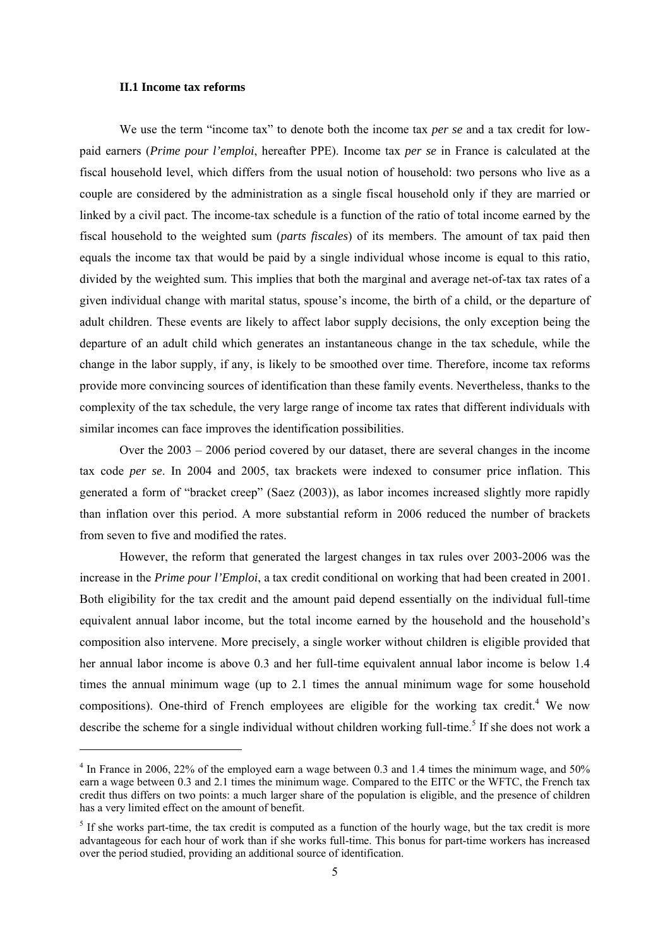#### **II.1 Income tax reforms**

1

We use the term "income tax" to denote both the income tax *per se* and a tax credit for lowpaid earners (*Prime pour l'emploi*, hereafter PPE). Income tax *per se* in France is calculated at the fiscal household level, which differs from the usual notion of household: two persons who live as a couple are considered by the administration as a single fiscal household only if they are married or linked by a civil pact. The income-tax schedule is a function of the ratio of total income earned by the fiscal household to the weighted sum (*parts fiscales*) of its members. The amount of tax paid then equals the income tax that would be paid by a single individual whose income is equal to this ratio, divided by the weighted sum. This implies that both the marginal and average net-of-tax tax rates of a given individual change with marital status, spouse's income, the birth of a child, or the departure of adult children. These events are likely to affect labor supply decisions, the only exception being the departure of an adult child which generates an instantaneous change in the tax schedule, while the change in the labor supply, if any, is likely to be smoothed over time. Therefore, income tax reforms provide more convincing sources of identification than these family events. Nevertheless, thanks to the complexity of the tax schedule, the very large range of income tax rates that different individuals with similar incomes can face improves the identification possibilities.

Over the 2003 – 2006 period covered by our dataset, there are several changes in the income tax code *per se*. In 2004 and 2005, tax brackets were indexed to consumer price inflation. This generated a form of "bracket creep" (Saez (2003)), as labor incomes increased slightly more rapidly than inflation over this period. A more substantial reform in 2006 reduced the number of brackets from seven to five and modified the rates.

However, the reform that generated the largest changes in tax rules over 2003-2006 was the increase in the *Prime pour l'Emploi*, a tax credit conditional on working that had been created in 2001. Both eligibility for the tax credit and the amount paid depend essentially on the individual full-time equivalent annual labor income, but the total income earned by the household and the household's composition also intervene. More precisely, a single worker without children is eligible provided that her annual labor income is above 0.3 and her full-time equivalent annual labor income is below 1.4 times the annual minimum wage (up to 2.1 times the annual minimum wage for some household compositions). One-third of French employees are eligible for the working tax credit.<sup>4</sup> We now describe the scheme for a single individual without children working full-time.<sup>5</sup> If she does not work a

<sup>&</sup>lt;sup>4</sup> In France in 2006, 22% of the employed earn a wage between 0.3 and 1.4 times the minimum wage, and 50% earn a wage between 0.3 and 2.1 times the minimum wage. Compared to the EITC or the WFTC, the French tax credit thus differs on two points: a much larger share of the population is eligible, and the presence of children has a very limited effect on the amount of benefit.

 $<sup>5</sup>$  If she works part-time, the tax credit is computed as a function of the hourly wage, but the tax credit is more</sup> advantageous for each hour of work than if she works full-time. This bonus for part-time workers has increased over the period studied, providing an additional source of identification.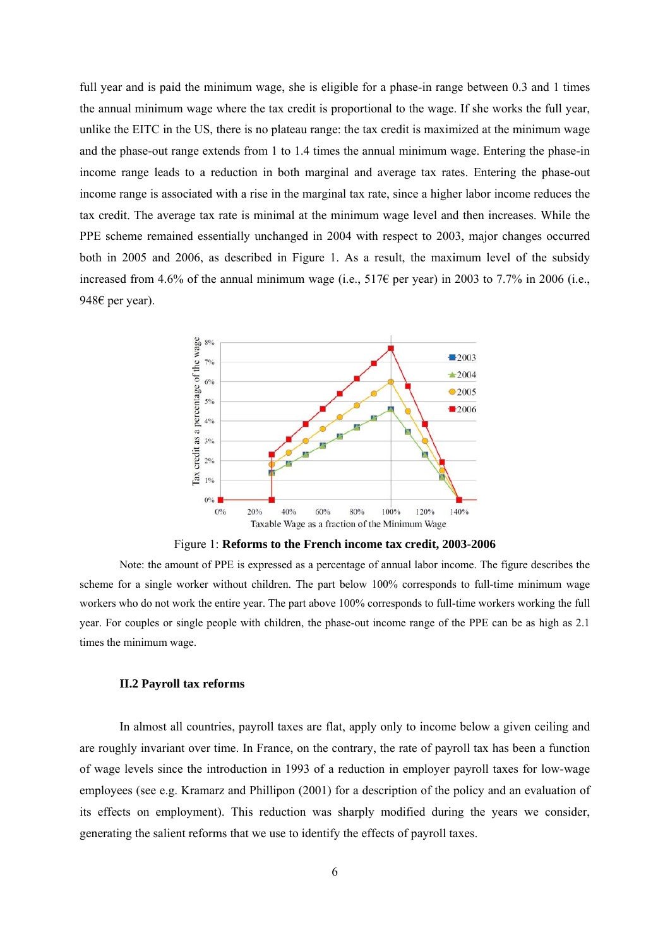full year and is paid the minimum wage, she is eligible for a phase-in range between 0.3 and 1 times the annual minimum wage where the tax credit is proportional to the wage. If she works the full year, unlike the EITC in the US, there is no plateau range: the tax credit is maximized at the minimum wage and the phase-out range extends from 1 to 1.4 times the annual minimum wage. Entering the phase-in income range leads to a reduction in both marginal and average tax rates. Entering the phase-out income range is associated with a rise in the marginal tax rate, since a higher labor income reduces the tax credit. The average tax rate is minimal at the minimum wage level and then increases. While the PPE scheme remained essentially unchanged in 2004 with respect to 2003, major changes occurred both in 2005 and 2006, as described in Figure 1. As a result, the maximum level of the subsidy increased from 4.6% of the annual minimum wage (i.e., 517 $\epsilon$  per year) in 2003 to 7.7% in 2006 (i.e., 948€ per year).



Figure 1: **Reforms to the French income tax credit, 2003-2006**

Note: the amount of PPE is expressed as a percentage of annual labor income. The figure describes the scheme for a single worker without children. The part below 100% corresponds to full-time minimum wage workers who do not work the entire year. The part above 100% corresponds to full-time workers working the full year. For couples or single people with children, the phase-out income range of the PPE can be as high as 2.1 times the minimum wage.

#### **II.2 Payroll tax reforms**

In almost all countries, payroll taxes are flat, apply only to income below a given ceiling and are roughly invariant over time. In France, on the contrary, the rate of payroll tax has been a function of wage levels since the introduction in 1993 of a reduction in employer payroll taxes for low-wage employees (see e.g. Kramarz and Phillipon (2001) for a description of the policy and an evaluation of its effects on employment). This reduction was sharply modified during the years we consider, generating the salient reforms that we use to identify the effects of payroll taxes.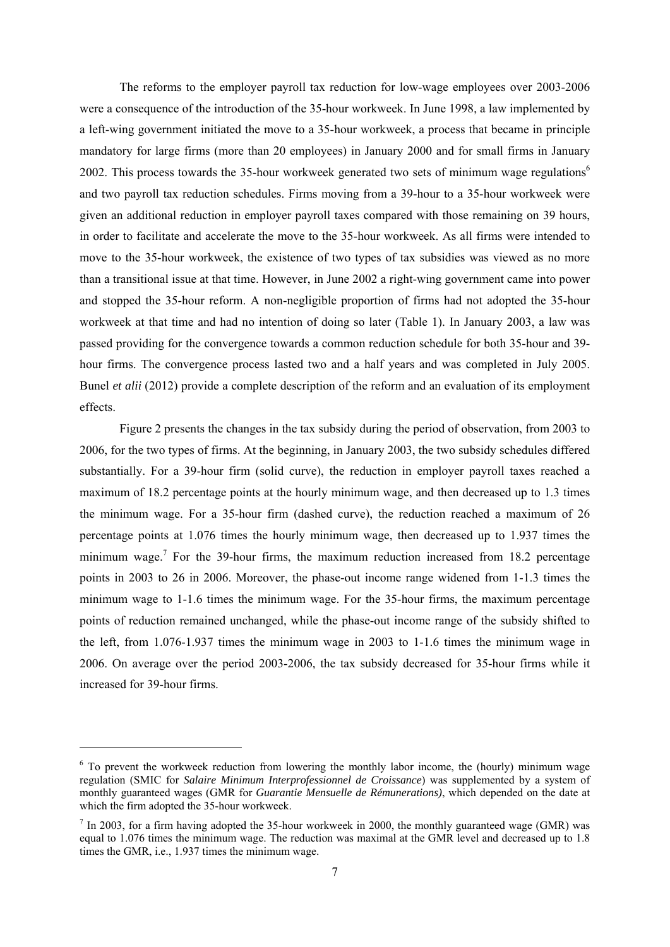The reforms to the employer payroll tax reduction for low-wage employees over 2003-2006 were a consequence of the introduction of the 35-hour workweek. In June 1998, a law implemented by a left-wing government initiated the move to a 35-hour workweek, a process that became in principle mandatory for large firms (more than 20 employees) in January 2000 and for small firms in January 2002. This process towards the 35-hour workweek generated two sets of minimum wage regulations<sup>6</sup> and two payroll tax reduction schedules. Firms moving from a 39-hour to a 35-hour workweek were given an additional reduction in employer payroll taxes compared with those remaining on 39 hours, in order to facilitate and accelerate the move to the 35-hour workweek. As all firms were intended to move to the 35-hour workweek, the existence of two types of tax subsidies was viewed as no more than a transitional issue at that time. However, in June 2002 a right-wing government came into power and stopped the 35-hour reform. A non-negligible proportion of firms had not adopted the 35-hour workweek at that time and had no intention of doing so later (Table 1). In January 2003, a law was passed providing for the convergence towards a common reduction schedule for both 35-hour and 39 hour firms. The convergence process lasted two and a half years and was completed in July 2005. Bunel *et alii* (2012) provide a complete description of the reform and an evaluation of its employment effects.

Figure 2 presents the changes in the tax subsidy during the period of observation, from 2003 to 2006, for the two types of firms. At the beginning, in January 2003, the two subsidy schedules differed substantially. For a 39-hour firm (solid curve), the reduction in employer payroll taxes reached a maximum of 18.2 percentage points at the hourly minimum wage, and then decreased up to 1.3 times the minimum wage. For a 35-hour firm (dashed curve), the reduction reached a maximum of 26 percentage points at 1.076 times the hourly minimum wage, then decreased up to 1.937 times the minimum wage.<sup>7</sup> For the 39-hour firms, the maximum reduction increased from 18.2 percentage points in 2003 to 26 in 2006. Moreover, the phase-out income range widened from 1-1.3 times the minimum wage to 1-1.6 times the minimum wage. For the 35-hour firms, the maximum percentage points of reduction remained unchanged, while the phase-out income range of the subsidy shifted to the left, from 1.076-1.937 times the minimum wage in 2003 to 1-1.6 times the minimum wage in 2006. On average over the period 2003-2006, the tax subsidy decreased for 35-hour firms while it increased for 39-hour firms.

1

<sup>&</sup>lt;sup>6</sup> To prevent the workweek reduction from lowering the monthly labor income, the (hourly) minimum wage regulation (SMIC for *Salaire Minimum Interprofessionnel de Croissance*) was supplemented by a system of monthly guaranteed wages (GMR for *Guarantie Mensuelle de Rémunerations)*, which depended on the date at which the firm adopted the 35-hour workweek.

 $<sup>7</sup>$  In 2003, for a firm having adopted the 35-hour workweek in 2000, the monthly guaranteed wage (GMR) was</sup> equal to 1.076 times the minimum wage. The reduction was maximal at the GMR level and decreased up to 1.8 times the GMR, i.e., 1.937 times the minimum wage.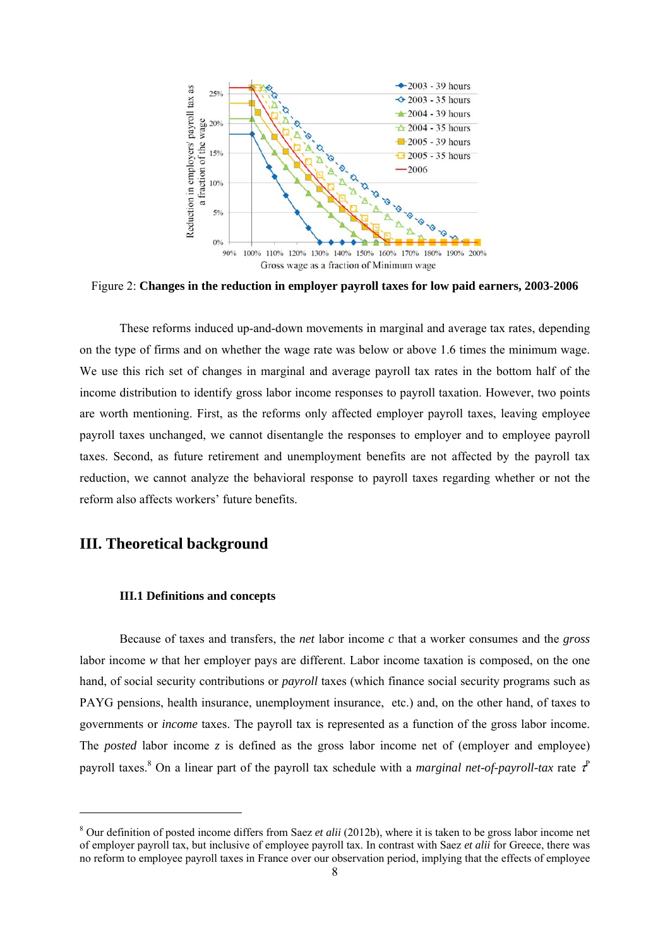

Figure 2: **Changes in the reduction in employer payroll taxes for low paid earners, 2003-2006**

These reforms induced up-and-down movements in marginal and average tax rates, depending on the type of firms and on whether the wage rate was below or above 1.6 times the minimum wage. We use this rich set of changes in marginal and average payroll tax rates in the bottom half of the income distribution to identify gross labor income responses to payroll taxation. However, two points are worth mentioning. First, as the reforms only affected employer payroll taxes, leaving employee payroll taxes unchanged, we cannot disentangle the responses to employer and to employee payroll taxes. Second, as future retirement and unemployment benefits are not affected by the payroll tax reduction, we cannot analyze the behavioral response to payroll taxes regarding whether or not the reform also affects workers' future benefits.

## **III. Theoretical background**

1

#### **III.1 Definitions and concepts**

Because of taxes and transfers, the *net* labor income *c* that a worker consumes and the *gross*  labor income *w* that her employer pays are different. Labor income taxation is composed, on the one hand, of social security contributions or *payroll* taxes (which finance social security programs such as PAYG pensions, health insurance, unemployment insurance, etc.) and, on the other hand, of taxes to governments or *income* taxes. The payroll tax is represented as a function of the gross labor income. The *posted* labor income *z* is defined as the gross labor income net of (employer and employee) payroll taxes.<sup>8</sup> On a linear part of the payroll tax schedule with a *marginal net-of-payroll-tax* rate τ<sup>*ε*</sup>

<sup>8</sup> Our definition of posted income differs from Saez *et alii* (2012b), where it is taken to be gross labor income net of employer payroll tax, but inclusive of employee payroll tax. In contrast with Saez *et alii* for Greece, there was no reform to employee payroll taxes in France over our observation period, implying that the effects of employee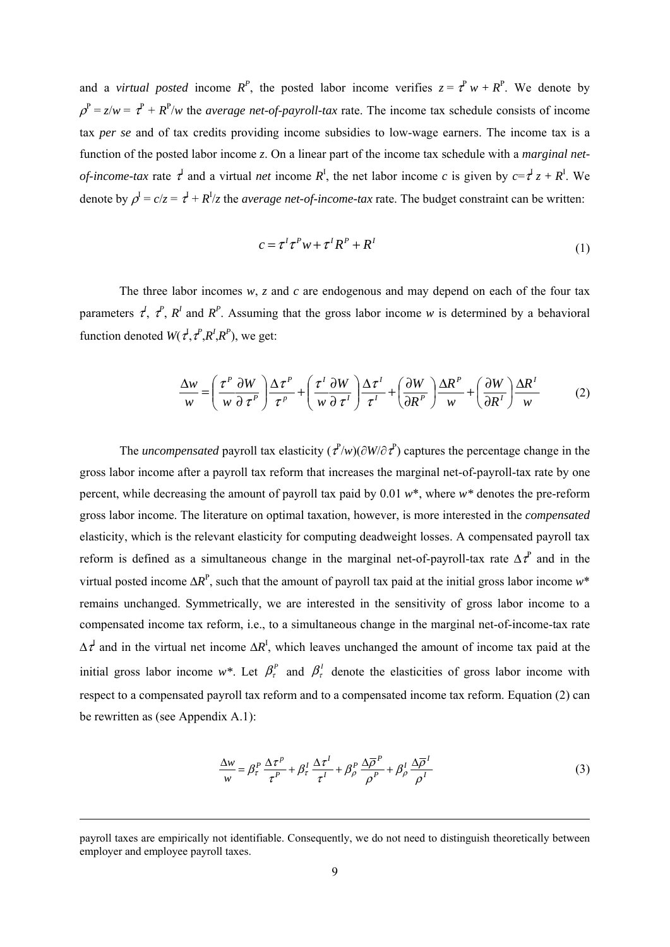and a *virtual posted* income  $R^P$ , the posted labor income verifies  $z = \tau^P w + R^P$ . We denote by  $\rho^P = z/w = t^P + R^P/w$  the *average net-of-payroll-tax* rate. The income tax schedule consists of income tax *per se* and of tax credits providing income subsidies to low-wage earners. The income tax is a function of the posted labor income *z*. On a linear part of the income tax schedule with a *marginal netof-income-tax* rate  $\tau^I$  and a virtual *net* income  $R^I$ , the net labor income *c* is given by  $c = \tau^I z + R^I$ . We denote by  $\rho^I = c/z = \tau^I + R^I/z$  the *average net-of-income-tax* rate. The budget constraint can be written:

$$
c = \tau^l \tau^p w + \tau^l R^p + R^l \tag{1}
$$

The three labor incomes *w*, *z* and *c* are endogenous and may depend on each of the four tax parameters  $\tau^I$ ,  $\tau^P$ ,  $R^I$  and  $R^P$ . Assuming that the gross labor income *w* is determined by a behavioral function denoted  $W(\tau^I, \tau^P, R^I, R^P)$ , we get:

$$
\frac{\Delta w}{w} = \left(\frac{\tau^P}{w}\frac{\partial W}{\partial \tau^P}\right)\frac{\Delta \tau^P}{\tau^P} + \left(\frac{\tau^I}{w}\frac{\partial W}{\partial \tau^I}\right)\frac{\Delta \tau^I}{\tau^I} + \left(\frac{\partial W}{\partial R^P}\right)\frac{\Delta R^P}{w} + \left(\frac{\partial W}{\partial R^I}\right)\frac{\Delta R^I}{w}
$$
(2)

The *uncompensated* payroll tax elasticity ( $\tau^P/w$ )( $\partial W/\partial \tau^P$ ) captures the percentage change in the gross labor income after a payroll tax reform that increases the marginal net-of-payroll-tax rate by one percent, while decreasing the amount of payroll tax paid by 0.01 *w*\*, where *w\** denotes the pre-reform gross labor income. The literature on optimal taxation, however, is more interested in the *compensated*  elasticity, which is the relevant elasticity for computing deadweight losses. A compensated payroll tax reform is defined as a simultaneous change in the marginal net-of-payroll-tax rate  $\Delta \tau^P$  and in the virtual posted income  $\Delta R^P$ , such that the amount of payroll tax paid at the initial gross labor income  $w^*$ remains unchanged. Symmetrically, we are interested in the sensitivity of gross labor income to a compensated income tax reform, i.e., to a simultaneous change in the marginal net-of-income-tax rate  $\Delta \tau^I$  and in the virtual net income  $\Delta R^I$ , which leaves unchanged the amount of income tax paid at the initial gross labor income  $w^*$ . Let  $\beta_r^p$  and  $\beta_r^l$  denote the elasticities of gross labor income with respect to a compensated payroll tax reform and to a compensated income tax reform. Equation (2) can be rewritten as (see Appendix A.1):

$$
\frac{\Delta w}{w} = \beta_r^P \frac{\Delta \tau^P}{\tau^P} + \beta_r^I \frac{\Delta \tau^I}{\tau^I} + \beta_\rho^P \frac{\Delta \overline{\rho}^P}{\rho^P} + \beta_\rho^I \frac{\Delta \overline{\rho}^I}{\rho^I}
$$
(3)

-

payroll taxes are empirically not identifiable. Consequently, we do not need to distinguish theoretically between employer and employee payroll taxes.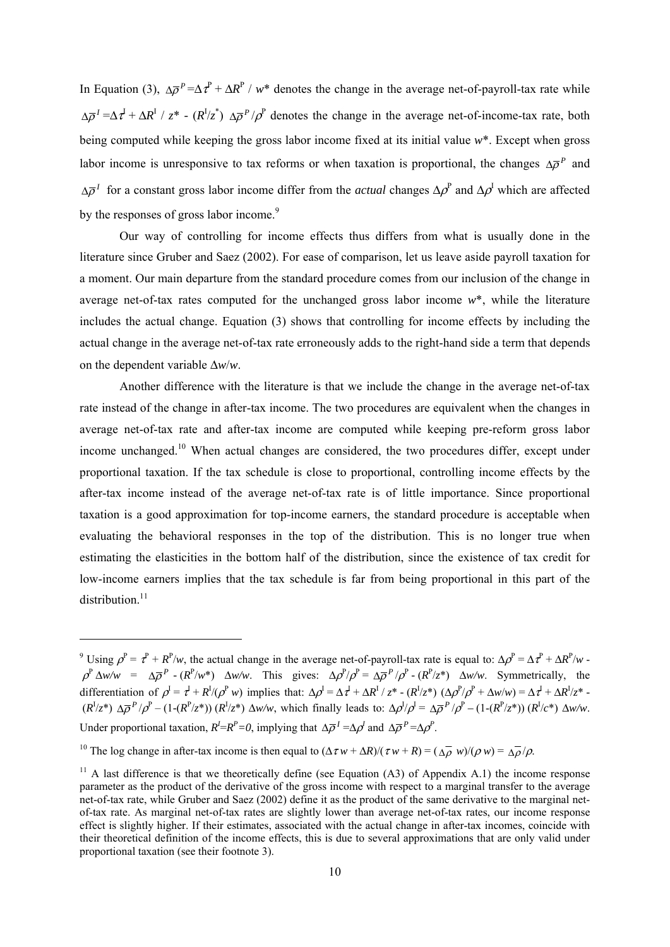In Equation (3),  $\Delta \overline{\rho}^P = \Delta \tau^P + \Delta R^P$  /*w*\* denotes the change in the average net-of-payroll-tax rate while  $\Delta \overline{\rho}^I = \Delta t^I + \Delta R^I / z^*$  *-*  $(R^I/z^*)$   $\Delta \overline{\rho}^P/\rho^P$  denotes the change in the average net-of-income-tax rate, both being computed while keeping the gross labor income fixed at its initial value *w*\*. Except when gross labor income is unresponsive to tax reforms or when taxation is proportional, the changes  $\Delta \overline{\rho}^P$  and  $\Delta \overline{\rho}^I$  for a constant gross labor income differ from the *actual* changes  $\Delta \rho^P$  and  $\Delta \rho^I$  which are affected by the responses of gross labor income.<sup>9</sup>

Our way of controlling for income effects thus differs from what is usually done in the literature since Gruber and Saez (2002). For ease of comparison, let us leave aside payroll taxation for a moment. Our main departure from the standard procedure comes from our inclusion of the change in average net-of-tax rates computed for the unchanged gross labor income *w*\*, while the literature includes the actual change. Equation (3) shows that controlling for income effects by including the actual change in the average net-of-tax rate erroneously adds to the right-hand side a term that depends on the dependent variable Δ*w*/*w*.

Another difference with the literature is that we include the change in the average net-of-tax rate instead of the change in after-tax income. The two procedures are equivalent when the changes in average net-of-tax rate and after-tax income are computed while keeping pre-reform gross labor income unchanged.<sup>10</sup> When actual changes are considered, the two procedures differ, except under proportional taxation. If the tax schedule is close to proportional, controlling income effects by the after-tax income instead of the average net-of-tax rate is of little importance. Since proportional taxation is a good approximation for top-income earners, the standard procedure is acceptable when evaluating the behavioral responses in the top of the distribution. This is no longer true when estimating the elasticities in the bottom half of the distribution, since the existence of tax credit for low-income earners implies that the tax schedule is far from being proportional in this part of the distribution $11$ 

1

<sup>&</sup>lt;sup>9</sup> Using  $\rho^P = \tau^P + R^P/w$ , the actual change in the average net-of-payroll-tax rate is equal to:  $\Delta \rho^P = \Delta \tau^P + \Delta R^P/w$ .  $\rho^P \Delta w/w = \Delta \overline{\rho}^P - (R^P/w^*) \Delta w/w$ . This gives:  $\Delta \rho^P / \rho^P = \Delta \overline{\rho}^P / \rho^P - (R^P/z^*) \Delta w/w$ . Symmetrically, the differentiation of  $\rho^I = \tau^I + R^I/(\rho^P w)$  implies that:  $\Delta \rho^I = \Delta \tau^I + \Delta R^I / z^* - (R^I / z^*) (\Delta \rho^P / \rho^P + \Delta w / w) = \Delta \tau^I + \Delta R^I / z^*$ .  $(R^I/z^*)$   $\Delta \overline{\rho}^P/\rho^P - (1-(R^P/z^*)) (R^I/z^*) \Delta w/w$ , which finally leads to:  $\Delta \rho^I/\rho^I = \Delta \overline{\rho}^P/\rho^P - (1-(R^P/z^*)) (R^I/c^*) \Delta w/w$ . Under proportional taxation,  $R^l = R^P = 0$ , implying that  $\Delta \overline{\rho}^l = \Delta \rho^l$  and  $\Delta \overline{\rho}^P = \Delta \rho^P$ .

<sup>&</sup>lt;sup>10</sup> The log change in after-tax income is then equal to  $(\Delta \tau w + \Delta R)/(\tau w + R) = (\Delta \rho w)/(\rho w) = \Delta \rho/\rho$ .

<sup>&</sup>lt;sup>11</sup> A last difference is that we theoretically define (see Equation  $(A3)$  of Appendix A.1) the income response parameter as the product of the derivative of the gross income with respect to a marginal transfer to the average net-of-tax rate, while Gruber and Saez (2002) define it as the product of the same derivative to the marginal netof-tax rate. As marginal net-of-tax rates are slightly lower than average net-of-tax rates, our income response effect is slightly higher. If their estimates, associated with the actual change in after-tax incomes, coincide with their theoretical definition of the income effects, this is due to several approximations that are only valid under proportional taxation (see their footnote 3).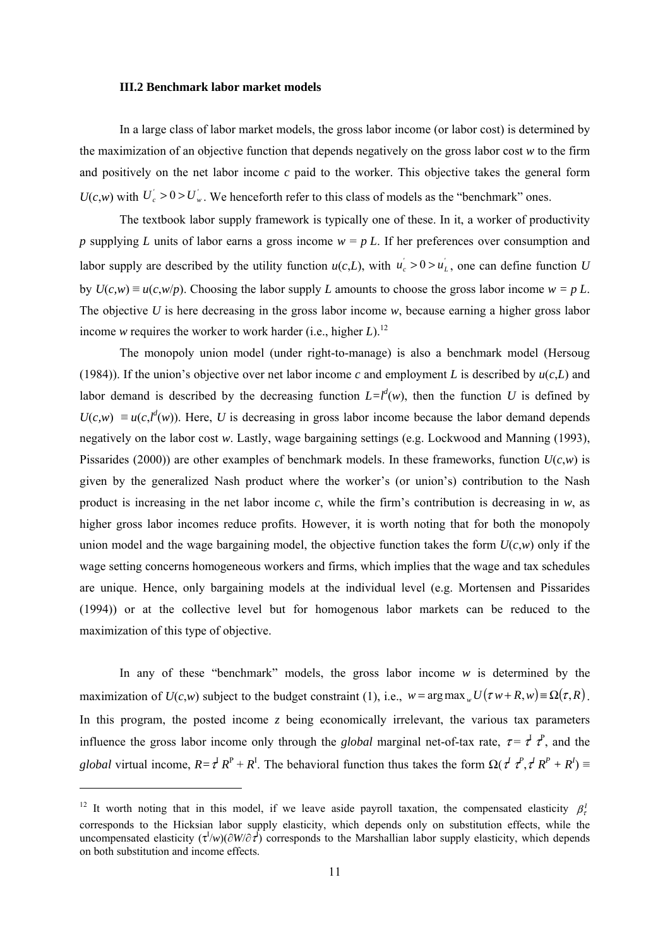#### **III.2 Benchmark labor market models**

 In a large class of labor market models, the gross labor income (or labor cost) is determined by the maximization of an objective function that depends negatively on the gross labor cost *w* to the firm and positively on the net labor income *c* paid to the worker. This objective takes the general form  $U(c,w)$  with  $U_c > 0 > U_w$ . We henceforth refer to this class of models as the "benchmark" ones.

The textbook labor supply framework is typically one of these. In it, a worker of productivity *p* supplying *L* units of labor earns a gross income *w* = *p L*. If her preferences over consumption and labor supply are described by the utility function  $u(c, L)$ , with  $u_c > 0 > u_L$ , one can define function *U* by  $U(c, w) \equiv u(c, w/p)$ . Choosing the labor supply *L* amounts to choose the gross labor income  $w = p L$ . The objective *U* is here decreasing in the gross labor income *w*, because earning a higher gross labor income *w* requires the worker to work harder (i.e., higher *L*).<sup>12</sup>

The monopoly union model (under right-to-manage) is also a benchmark model (Hersoug (1984)). If the union's objective over net labor income *c* and employment *L* is described by  $u(c, L)$  and labor demand is described by the decreasing function  $L = l^d(w)$ , then the function *U* is defined by  $U(c,w) \equiv u(c, l^d(w))$ . Here, *U* is decreasing in gross labor income because the labor demand depends negatively on the labor cost *w*. Lastly, wage bargaining settings (e.g. Lockwood and Manning (1993), Pissarides (2000)) are other examples of benchmark models. In these frameworks, function  $U(c,w)$  is given by the generalized Nash product where the worker's (or union's) contribution to the Nash product is increasing in the net labor income *c*, while the firm's contribution is decreasing in *w*, as higher gross labor incomes reduce profits. However, it is worth noting that for both the monopoly union model and the wage bargaining model, the objective function takes the form  $U(c,w)$  only if the wage setting concerns homogeneous workers and firms, which implies that the wage and tax schedules are unique. Hence, only bargaining models at the individual level (e.g. Mortensen and Pissarides (1994)) or at the collective level but for homogenous labor markets can be reduced to the maximization of this type of objective.

In any of these "benchmark" models, the gross labor income *w* is determined by the maximization of  $U(c,w)$  subject to the budget constraint (1), i.e.,  $w = \arg \max_{w} U(\tau w + R, w) = \Omega(\tau, R)$ . In this program, the posted income *z* being economically irrelevant, the various tax parameters influence the gross labor income only through the *global* marginal net-of-tax rate,  $\tau = \tau^{\perp} \tau^{\text{P}}$ , and the *global* virtual income,  $R = \tau^I R^P + R^I$ . The behavioral function thus takes the form  $\Omega(\tau^I \tau^P, \tau^I R^P + R^I)$ 

1

<sup>&</sup>lt;sup>12</sup> It worth noting that in this model, if we leave aside payroll taxation, the compensated elasticity  $\beta$ <sup>1</sup> corresponds to the Hicksian labor supply elasticity, which depends only on substitution effects, while the uncompensated elasticity  $(\tau^I/w)(\partial W/\partial \tau^I)$  corresponds to the Marshallian labor supply elasticity, which depends on both substitution and income effects.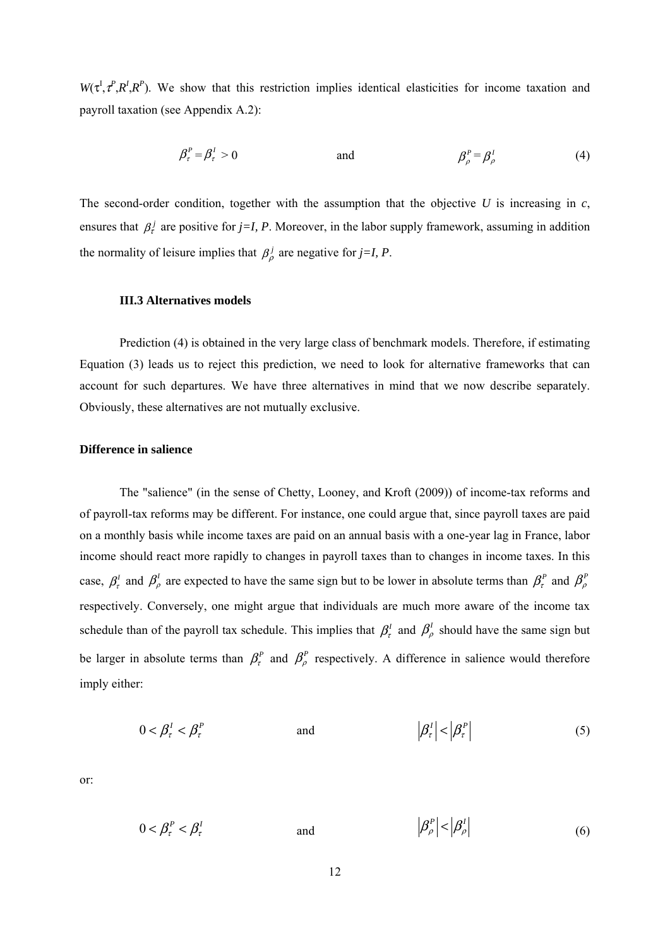$W(\tau^I, \tau^P, R^I, R^P)$ . We show that this restriction implies identical elasticities for income taxation and payroll taxation (see Appendix A.2):

$$
\beta_r^P = \beta_t^I > 0 \qquad \text{and} \qquad \beta_\rho^P = \beta_\rho^I \qquad (4)
$$

The second-order condition, together with the assumption that the objective  $U$  is increasing in  $c$ , ensures that  $\beta_t^j$  are positive for *j*=*I*, *P*. Moreover, in the labor supply framework, assuming in addition the normality of leisure implies that  $\beta_{\rho}^{j}$  are negative for *j*=*I*, *P*.

#### **III.3 Alternatives models**

Prediction (4) is obtained in the very large class of benchmark models. Therefore, if estimating Equation (3) leads us to reject this prediction, we need to look for alternative frameworks that can account for such departures. We have three alternatives in mind that we now describe separately. Obviously, these alternatives are not mutually exclusive.

#### **Difference in salience**

The "salience" (in the sense of Chetty, Looney, and Kroft (2009)) of income-tax reforms and of payroll-tax reforms may be different. For instance, one could argue that, since payroll taxes are paid on a monthly basis while income taxes are paid on an annual basis with a one-year lag in France, labor income should react more rapidly to changes in payroll taxes than to changes in income taxes. In this case,  $\beta_t^l$  and  $\beta_\rho^l$  are expected to have the same sign but to be lower in absolute terms than  $\beta_t^P$  and  $\beta_\rho^P$ respectively. Conversely, one might argue that individuals are much more aware of the income tax schedule than of the payroll tax schedule. This implies that  $\beta_{\tau}^{I}$  and  $\beta_{\rho}^{I}$  should have the same sign but be larger in absolute terms than  $\beta_{\tau}^{P}$  and  $\beta_{\rho}^{P}$  respectively. A difference in salience would therefore imply either:

$$
0 < \beta_{\tau}^{I} < \beta_{\tau}^{P} \tag{5}
$$

or:

$$
0 < \beta_{\tau}^P < \beta_{\tau}^I \tag{6}
$$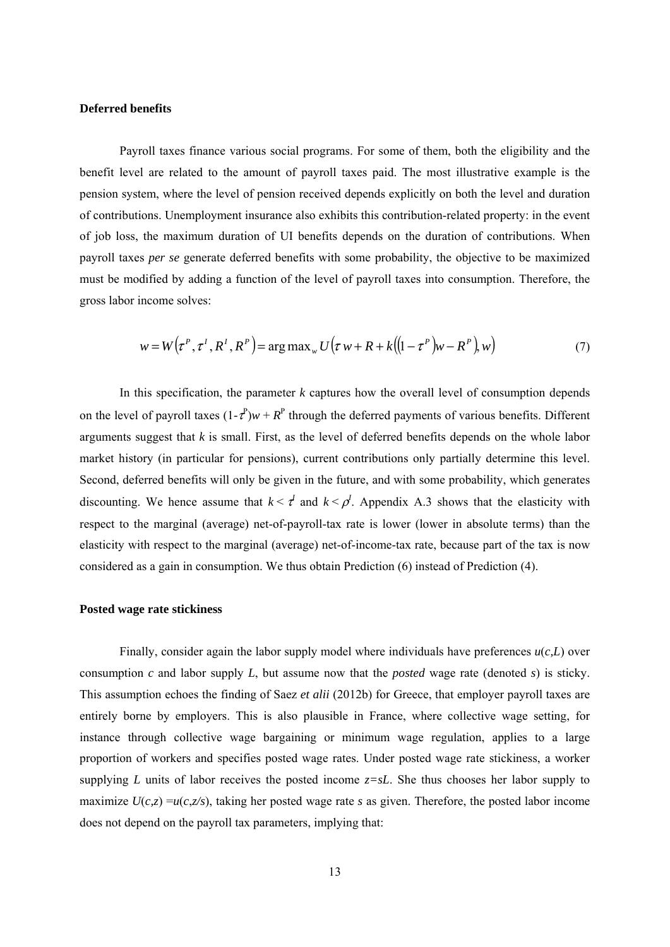#### **Deferred benefits**

Payroll taxes finance various social programs. For some of them, both the eligibility and the benefit level are related to the amount of payroll taxes paid. The most illustrative example is the pension system, where the level of pension received depends explicitly on both the level and duration of contributions. Unemployment insurance also exhibits this contribution-related property: in the event of job loss, the maximum duration of UI benefits depends on the duration of contributions. When payroll taxes *per se* generate deferred benefits with some probability, the objective to be maximized must be modified by adding a function of the level of payroll taxes into consumption. Therefore, the gross labor income solves:

$$
w = W(\tau^P, \tau^I, R^I, R^P) = \arg \max_{w} U(\tau w + R + k((1 - \tau^P)w - R^P), w)
$$
\n<sup>(7)</sup>

In this specification, the parameter  $k$  captures how the overall level of consumption depends on the level of payroll taxes  $(1 - \tau^P)w + R^P$  through the deferred payments of various benefits. Different arguments suggest that *k* is small. First, as the level of deferred benefits depends on the whole labor market history (in particular for pensions), current contributions only partially determine this level. Second, deferred benefits will only be given in the future, and with some probability, which generates discounting. We hence assume that  $k \leq t^l$  and  $k \leq p^l$ . Appendix A.3 shows that the elasticity with respect to the marginal (average) net-of-payroll-tax rate is lower (lower in absolute terms) than the elasticity with respect to the marginal (average) net-of-income-tax rate, because part of the tax is now considered as a gain in consumption. We thus obtain Prediction (6) instead of Prediction (4).

#### **Posted wage rate stickiness**

Finally, consider again the labor supply model where individuals have preferences *u*(*c,L*) over consumption *c* and labor supply *L*, but assume now that the *posted* wage rate (denoted *s*) is sticky. This assumption echoes the finding of Saez *et alii* (2012b) for Greece, that employer payroll taxes are entirely borne by employers. This is also plausible in France, where collective wage setting, for instance through collective wage bargaining or minimum wage regulation, applies to a large proportion of workers and specifies posted wage rates. Under posted wage rate stickiness, a worker supplying *L* units of labor receives the posted income  $z=sL$ . She thus chooses her labor supply to maximize  $U(c, z) = u(c, z/s)$ , taking her posted wage rate *s* as given. Therefore, the posted labor income does not depend on the payroll tax parameters, implying that: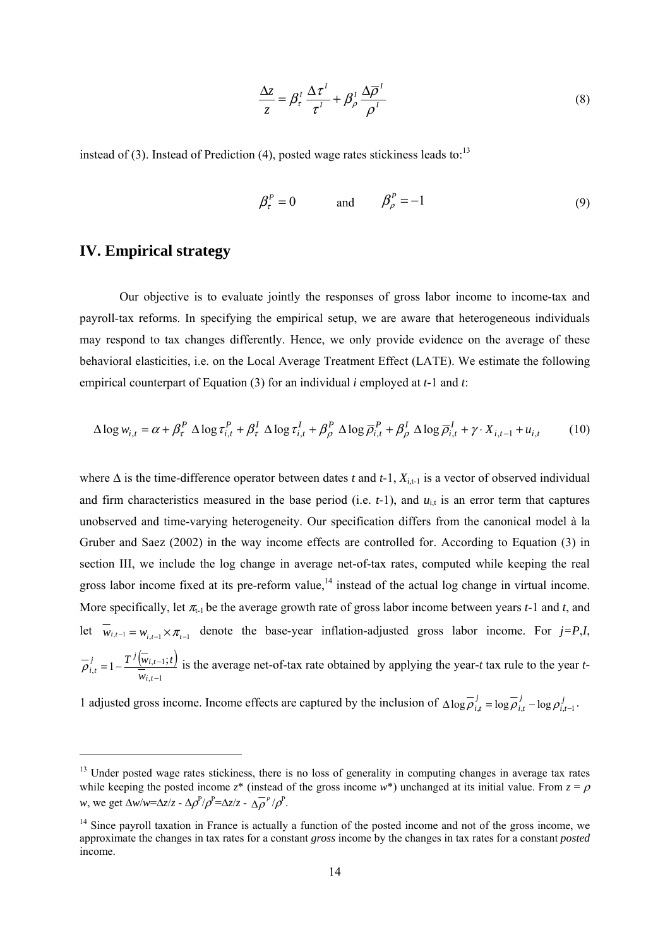$$
\frac{\Delta z}{z} = \beta_t^I \frac{\Delta \tau^I}{\tau^I} + \beta_\rho^I \frac{\Delta \overline{\rho}^I}{\rho^I}
$$
\n(8)

instead of (3). Instead of Prediction (4), posted wage rates stickiness leads to:<sup>13</sup>

$$
\beta_{\tau}^{P} = 0 \qquad \text{and} \qquad \beta_{\rho}^{P} = -1 \tag{9}
$$

## **IV. Empirical strategy**

1

Our objective is to evaluate jointly the responses of gross labor income to income-tax and payroll-tax reforms. In specifying the empirical setup, we are aware that heterogeneous individuals may respond to tax changes differently. Hence, we only provide evidence on the average of these behavioral elasticities, i.e. on the Local Average Treatment Effect (LATE). We estimate the following empirical counterpart of Equation (3) for an individual *i* employed at *t-*1 and *t*:

$$
\Delta \log w_{i,t} = \alpha + \beta_t^P \, \Delta \log \tau_{i,t}^P + \beta_t^I \, \Delta \log \tau_{i,t}^I + \beta_\rho^P \, \Delta \log \overline{\rho}_{i,t}^P + \beta_\rho^I \, \Delta \log \overline{\rho}_{i,t}^I + \gamma \cdot X_{i,t-1} + u_{i,t} \tag{10}
$$

where  $\Delta$  is the time-difference operator between dates *t* and *t*-1,  $X_{i,t-1}$  is a vector of observed individual and firm characteristics measured in the base period (i.e.  $t-1$ ), and  $u_{i,t}$  is an error term that captures unobserved and time-varying heterogeneity. Our specification differs from the canonical model à la Gruber and Saez (2002) in the way income effects are controlled for. According to Equation (3) in section III, we include the log change in average net-of-tax rates, computed while keeping the real gross labor income fixed at its pre-reform value, $14$  instead of the actual log change in virtual income. More specifically, let  $\pi_{t-1}$  be the average growth rate of gross labor income between years *t*-1 and *t*, and let  $\overline{w}_{i,t-1} = w_{i,t-1} \times \pi_{t-1}$  denote the base-year inflation-adjusted gross labor income. For  $j = P, I$ ,  $(w_{i,t-1}; t)$  $,t-1$  $,t-1$  $\frac{d}{dt} = 1 - \frac{T^{J}(w_{i,t-1})}{T}$ −  $= 1 - \frac{I^{(j)}(w_{i,t-1})}{I^{(j)}(w_{i,t-1})}$ *i t j*  $T^{j}(\overline{w}_{i,t})$  $i, t = 1 - \frac{w}{w}$  $\overline{\rho}_{i,t}^{j} = 1 - \frac{T^{j}(\overline{w}_{i,t-1};t)}{T^{j}}$  is the average net-of-tax rate obtained by applying the year-*t* tax rule to the year *t*-

1 adjusted gross income. Income effects are captured by the inclusion of  $\Delta \log \overline{\rho}_{i,t}^j = \log \overline{\rho}_{i,t}^j - \log \rho_{i,t}^j$ *j i t*  $\Delta \log \overline{\rho}_{i,t}^j = \log \overline{\rho}_{i,t}^j - \log \rho_{i,t-1}^j$ .

<sup>&</sup>lt;sup>13</sup> Under posted wage rates stickiness, there is no loss of generality in computing changes in average tax rates while keeping the posted income  $z^*$  (instead of the gross income  $w^*$ ) unchanged at its initial value. From  $z = \rho$ *w*, we get  $\Delta w/w = \Delta z/z - \Delta \rho^P/\rho^P = \Delta z/z - \Delta \overline{\rho}^P/\rho^P$ .

 $14$  Since payroll taxation in France is actually a function of the posted income and not of the gross income, we approximate the changes in tax rates for a constant *gross* income by the changes in tax rates for a constant *posted* income.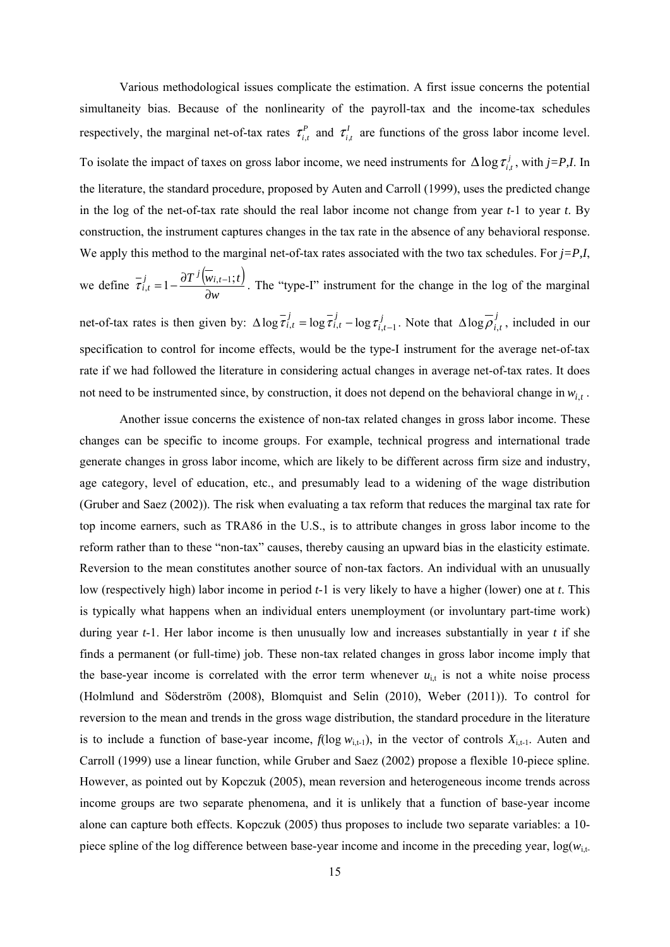Various methodological issues complicate the estimation. A first issue concerns the potential simultaneity bias. Because of the nonlinearity of the payroll-tax and the income-tax schedules respectively, the marginal net-of-tax rates  $\tau_{i,t}^p$  and  $\tau_{i,t}^l$  are functions of the gross labor income level. To isolate the impact of taxes on gross labor income, we need instruments for  $\Delta \log \tau_{i,t}^j$ , with *j*=*P*,*I*. In the literature, the standard procedure, proposed by Auten and Carroll (1999), uses the predicted change in the log of the net-of-tax rate should the real labor income not change from year *t*-1 to year *t*. By construction, the instrument captures changes in the tax rate in the absence of any behavioral response. We apply this method to the marginal net-of-tax rates associated with the two tax schedules. For  $j = P, I$ , we define  $\overline{\tau}_{i,t}^j = 1 - \frac{\partial T^j(w_{i,t-1}; t)}{\partial T^j}$ *w j*  $\frac{\partial T^j}{w_{i,t-1}}$ ; *t*  $i_{,t} = 1 - \frac{\Delta}{\partial t}$  $\overline{\tau}_{i,t}^{j} = 1 - \frac{\partial T^{j}(w_{i,t-1},t)}{\partial T^{j}}$ . The "type-I" instrument for the change in the log of the marginal net-of-tax rates is then given by:  $\Delta \log \overline{\tau}_{i,t}^j = \log \overline{\tau}_{i,t}^j - \log \tau_{i,t}^j$ *j i t*  $\Delta \log \overline{\tau}_{i,t}^j = \log \overline{\tau}_{i,t}^j - \log \tau_{i,t-1}^j$ . Note that  $\Delta \log \overline{\rho}_{i,t}^j$ , included in our specification to control for income effects, would be the type-I instrument for the average net-of-tax rate if we had followed the literature in considering actual changes in average net-of-tax rates. It does not need to be instrumented since, by construction, it does not depend on the behavioral change in  $w_{i,t}$ .

Another issue concerns the existence of non-tax related changes in gross labor income. These changes can be specific to income groups. For example, technical progress and international trade generate changes in gross labor income, which are likely to be different across firm size and industry, age category, level of education, etc., and presumably lead to a widening of the wage distribution (Gruber and Saez (2002)). The risk when evaluating a tax reform that reduces the marginal tax rate for top income earners, such as TRA86 in the U.S., is to attribute changes in gross labor income to the reform rather than to these "non-tax" causes, thereby causing an upward bias in the elasticity estimate. Reversion to the mean constitutes another source of non-tax factors. An individual with an unusually low (respectively high) labor income in period *t*-1 is very likely to have a higher (lower) one at *t*. This is typically what happens when an individual enters unemployment (or involuntary part-time work) during year *t*-1. Her labor income is then unusually low and increases substantially in year *t* if she finds a permanent (or full-time) job. These non-tax related changes in gross labor income imply that the base-year income is correlated with the error term whenever  $u_{i,t}$  is not a white noise process (Holmlund and Söderström (2008), Blomquist and Selin (2010), Weber (2011)). To control for reversion to the mean and trends in the gross wage distribution, the standard procedure in the literature is to include a function of base-year income,  $f(\log w_{i,t-1})$ , in the vector of controls  $X_{i,t-1}$ . Auten and Carroll (1999) use a linear function, while Gruber and Saez (2002) propose a flexible 10-piece spline. However, as pointed out by Kopczuk (2005), mean reversion and heterogeneous income trends across income groups are two separate phenomena, and it is unlikely that a function of base-year income alone can capture both effects. Kopczuk (2005) thus proposes to include two separate variables: a 10 piece spline of the log difference between base-year income and income in the preceding year,  $log(w_{i_{\text{t}}}$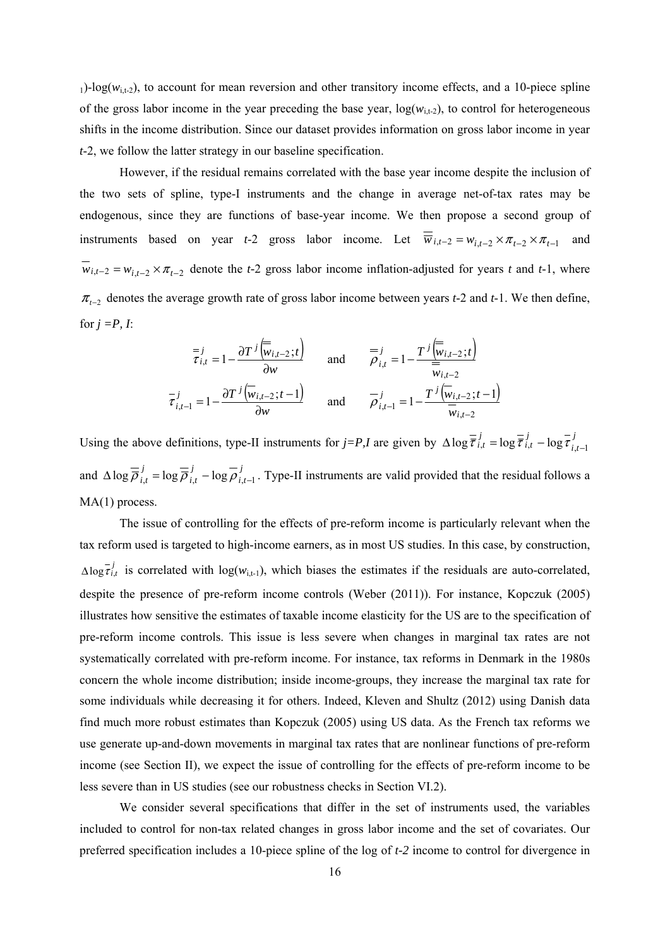$1$ -log( $w$ <sub>i,t-2</sub>), to account for mean reversion and other transitory income effects, and a 10-piece spline of the gross labor income in the year preceding the base year,  $log(w_{i,t-2})$ , to control for heterogeneous shifts in the income distribution. Since our dataset provides information on gross labor income in year *t*-2, we follow the latter strategy in our baseline specification.

However, if the residual remains correlated with the base year income despite the inclusion of the two sets of spline, type-I instruments and the change in average net-of-tax rates may be endogenous, since they are functions of base-year income. We then propose a second group of instruments based on year *t*-2 gross labor income. Let  $\overline{\overline{w}}_{i,t-2} = w_{i,t-2} \times \pi_{t-2} \times \pi_{t-1}$  and  $\overline{w}_{i,t-2} = w_{i,t-2} \times \pi_{t-2}$  denote the *t*-2 gross labor income inflation-adjusted for years *t* and *t*-1, where  $\pi_{t-2}$  denotes the average growth rate of gross labor income between years *t*-2 and *t*-1. We then define, for  $j = P$ ,  $I$ :

$$
\overline{\tau}_{i,t}^{j} = 1 - \frac{\partial T^{j}(\overline{w}_{i,t-2};t)}{\partial w} \quad \text{and} \quad \overline{\rho}_{i,t}^{j} = 1 - \frac{T^{j}(\overline{w}_{i,t-2};t)}{\overline{w}_{i,t-2}} \n\overline{\tau}_{i,t-1}^{j} = 1 - \frac{\partial T^{j}(\overline{w}_{i,t-2};t-1)}{\partial w} \quad \text{and} \quad \overline{\rho}_{i,t-1}^{j} = 1 - \frac{T^{j}(\overline{w}_{i,t-2};t-1)}{\overline{w}_{i,t-2}}
$$

Using the above definitions, type-II instruments for  $j = P$ , *I* are given by  $\Delta \log \overline{\overline{t}}_{i,t}^j = \log \overline{\overline{t}}_{i,t}^j - \log \overline{\overline{t}}_{i,t}^j$ *j i t*  $\Delta \log \overline{\overline{\tau}}_{i,t}^j = \log \overline{\overline{\tau}}_{i,t}^j - \log \overline{\tau}_{i,t-1}^j$ and  $\Delta \log \overline{\overline{\rho}}_{i,t}^j = \log \overline{\overline{\rho}}_{i,t}^j - \log \overline{\rho}_{i,t}^j$ *j i t*  $\Delta \log \overline{\overline{\rho}}_{i,t}^j = \log \overline{\overline{\rho}}_{i,t}^j - \log \overline{\rho}_{i,t-1}^j$ . Type-II instruments are valid provided that the residual follows a MA(1) process.

 The issue of controlling for the effects of pre-reform income is particularly relevant when the tax reform used is targeted to high-income earners, as in most US studies. In this case, by construction,  $\Delta \log \overline{\tau}_{i,t}^j$  is correlated with  $\log(w_{i,t-1})$ , which biases the estimates if the residuals are auto-correlated, despite the presence of pre-reform income controls (Weber (2011)). For instance, Kopczuk (2005) illustrates how sensitive the estimates of taxable income elasticity for the US are to the specification of pre-reform income controls. This issue is less severe when changes in marginal tax rates are not systematically correlated with pre-reform income. For instance, tax reforms in Denmark in the 1980s concern the whole income distribution; inside income-groups, they increase the marginal tax rate for some individuals while decreasing it for others. Indeed, Kleven and Shultz (2012) using Danish data find much more robust estimates than Kopczuk (2005) using US data. As the French tax reforms we use generate up-and-down movements in marginal tax rates that are nonlinear functions of pre-reform income (see Section II), we expect the issue of controlling for the effects of pre-reform income to be less severe than in US studies (see our robustness checks in Section VI.2).

We consider several specifications that differ in the set of instruments used, the variables included to control for non-tax related changes in gross labor income and the set of covariates. Our preferred specification includes a 10-piece spline of the log of *t-2* income to control for divergence in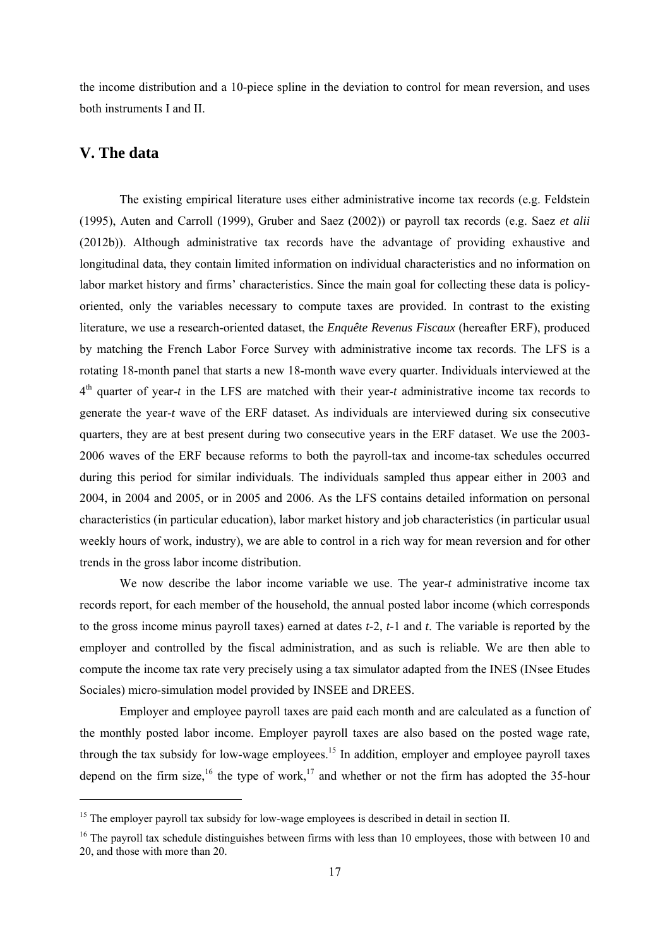the income distribution and a 10-piece spline in the deviation to control for mean reversion, and uses both instruments I and II.

# **V. The data**

-

The existing empirical literature uses either administrative income tax records (e.g. Feldstein (1995), Auten and Carroll (1999), Gruber and Saez (2002)) or payroll tax records (e.g. Saez *et alii* (2012b)). Although administrative tax records have the advantage of providing exhaustive and longitudinal data, they contain limited information on individual characteristics and no information on labor market history and firms' characteristics. Since the main goal for collecting these data is policyoriented, only the variables necessary to compute taxes are provided. In contrast to the existing literature, we use a research-oriented dataset, the *Enquête Revenus Fiscaux* (hereafter ERF), produced by matching the French Labor Force Survey with administrative income tax records. The LFS is a rotating 18-month panel that starts a new 18-month wave every quarter. Individuals interviewed at the 4th quarter of year-*t* in the LFS are matched with their year-*t* administrative income tax records to generate the year-*t* wave of the ERF dataset. As individuals are interviewed during six consecutive quarters, they are at best present during two consecutive years in the ERF dataset. We use the 2003- 2006 waves of the ERF because reforms to both the payroll-tax and income-tax schedules occurred during this period for similar individuals. The individuals sampled thus appear either in 2003 and 2004, in 2004 and 2005, or in 2005 and 2006. As the LFS contains detailed information on personal characteristics (in particular education), labor market history and job characteristics (in particular usual weekly hours of work, industry), we are able to control in a rich way for mean reversion and for other trends in the gross labor income distribution.

We now describe the labor income variable we use. The year-*t* administrative income tax records report, for each member of the household, the annual posted labor income (which corresponds to the gross income minus payroll taxes) earned at dates *t*-2, *t*-1 and *t*. The variable is reported by the employer and controlled by the fiscal administration, and as such is reliable. We are then able to compute the income tax rate very precisely using a tax simulator adapted from the INES (INsee Etudes Sociales) micro-simulation model provided by INSEE and DREES.

Employer and employee payroll taxes are paid each month and are calculated as a function of the monthly posted labor income. Employer payroll taxes are also based on the posted wage rate, through the tax subsidy for low-wage employees.<sup>15</sup> In addition, employer and employee payroll taxes depend on the firm size,<sup>16</sup> the type of work,<sup>17</sup> and whether or not the firm has adopted the 35-hour

<sup>&</sup>lt;sup>15</sup> The employer payroll tax subsidy for low-wage employees is described in detail in section II.

<sup>&</sup>lt;sup>16</sup> The payroll tax schedule distinguishes between firms with less than 10 employees, those with between 10 and 20, and those with more than 20.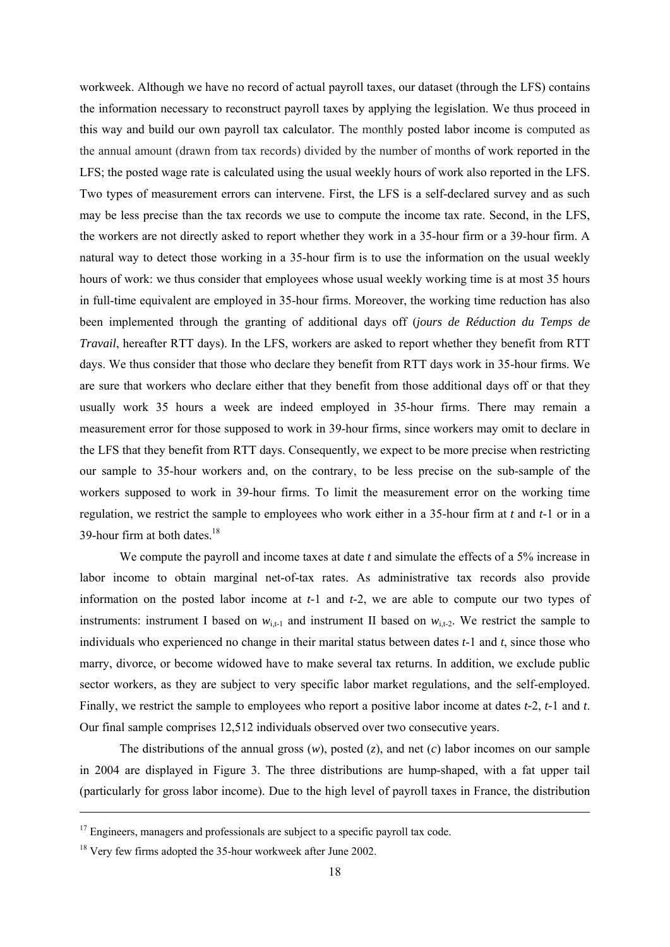workweek. Although we have no record of actual payroll taxes, our dataset (through the LFS) contains the information necessary to reconstruct payroll taxes by applying the legislation. We thus proceed in this way and build our own payroll tax calculator. The monthly posted labor income is computed as the annual amount (drawn from tax records) divided by the number of months of work reported in the LFS; the posted wage rate is calculated using the usual weekly hours of work also reported in the LFS. Two types of measurement errors can intervene. First, the LFS is a self-declared survey and as such may be less precise than the tax records we use to compute the income tax rate. Second, in the LFS, the workers are not directly asked to report whether they work in a 35-hour firm or a 39-hour firm. A natural way to detect those working in a 35-hour firm is to use the information on the usual weekly hours of work: we thus consider that employees whose usual weekly working time is at most 35 hours in full-time equivalent are employed in 35-hour firms. Moreover, the working time reduction has also been implemented through the granting of additional days off (*jours de Réduction du Temps de Travail*, hereafter RTT days). In the LFS, workers are asked to report whether they benefit from RTT days. We thus consider that those who declare they benefit from RTT days work in 35-hour firms. We are sure that workers who declare either that they benefit from those additional days off or that they usually work 35 hours a week are indeed employed in 35-hour firms. There may remain a measurement error for those supposed to work in 39-hour firms, since workers may omit to declare in the LFS that they benefit from RTT days. Consequently, we expect to be more precise when restricting our sample to 35-hour workers and, on the contrary, to be less precise on the sub-sample of the workers supposed to work in 39-hour firms. To limit the measurement error on the working time regulation, we restrict the sample to employees who work either in a 35-hour firm at *t* and *t*-1 or in a 39-hour firm at both dates.<sup>18</sup>

We compute the payroll and income taxes at date *t* and simulate the effects of a 5% increase in labor income to obtain marginal net-of-tax rates. As administrative tax records also provide information on the posted labor income at *t*-1 and *t*-2, we are able to compute our two types of instruments: instrument I based on  $w_{i,t-1}$  and instrument II based on  $w_{i,t-2}$ . We restrict the sample to individuals who experienced no change in their marital status between dates *t*-1 and *t*, since those who marry, divorce, or become widowed have to make several tax returns. In addition, we exclude public sector workers, as they are subject to very specific labor market regulations, and the self-employed. Finally, we restrict the sample to employees who report a positive labor income at dates *t-*2, *t-*1 and *t*. Our final sample comprises 12,512 individuals observed over two consecutive years.

The distributions of the annual gross (*w*), posted (*z*), and net (*c*) labor incomes on our sample in 2004 are displayed in Figure 3. The three distributions are hump-shaped, with a fat upper tail (particularly for gross labor income). Due to the high level of payroll taxes in France, the distribution

-

 $17$  Engineers, managers and professionals are subject to a specific payroll tax code.

<sup>&</sup>lt;sup>18</sup> Very few firms adopted the 35-hour workweek after June 2002.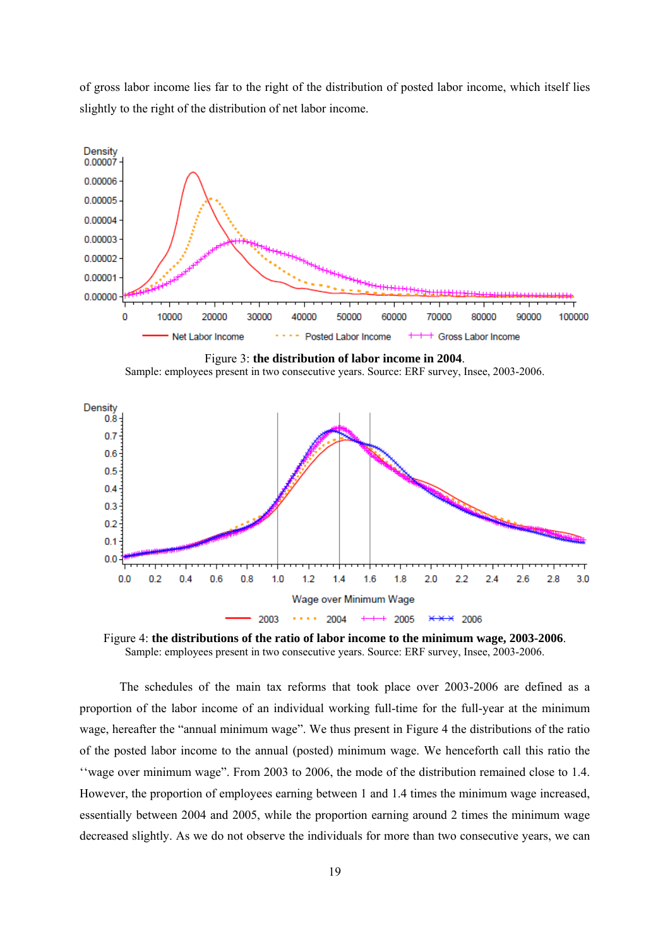of gross labor income lies far to the right of the distribution of posted labor income, which itself lies slightly to the right of the distribution of net labor income.



Figure 3: **the distribution of labor income in 2004**. Sample: employees present in two consecutive years. Source: ERF survey, Insee, 2003-2006.



Figure 4: **the distributions of the ratio of labor income to the minimum wage, 2003-2006**. Sample: employees present in two consecutive years. Source: ERF survey, Insee, 2003-2006.

The schedules of the main tax reforms that took place over 2003-2006 are defined as a proportion of the labor income of an individual working full-time for the full-year at the minimum wage, hereafter the "annual minimum wage". We thus present in Figure 4 the distributions of the ratio of the posted labor income to the annual (posted) minimum wage. We henceforth call this ratio the ''wage over minimum wage". From 2003 to 2006, the mode of the distribution remained close to 1.4. However, the proportion of employees earning between 1 and 1.4 times the minimum wage increased, essentially between 2004 and 2005, while the proportion earning around 2 times the minimum wage decreased slightly. As we do not observe the individuals for more than two consecutive years, we can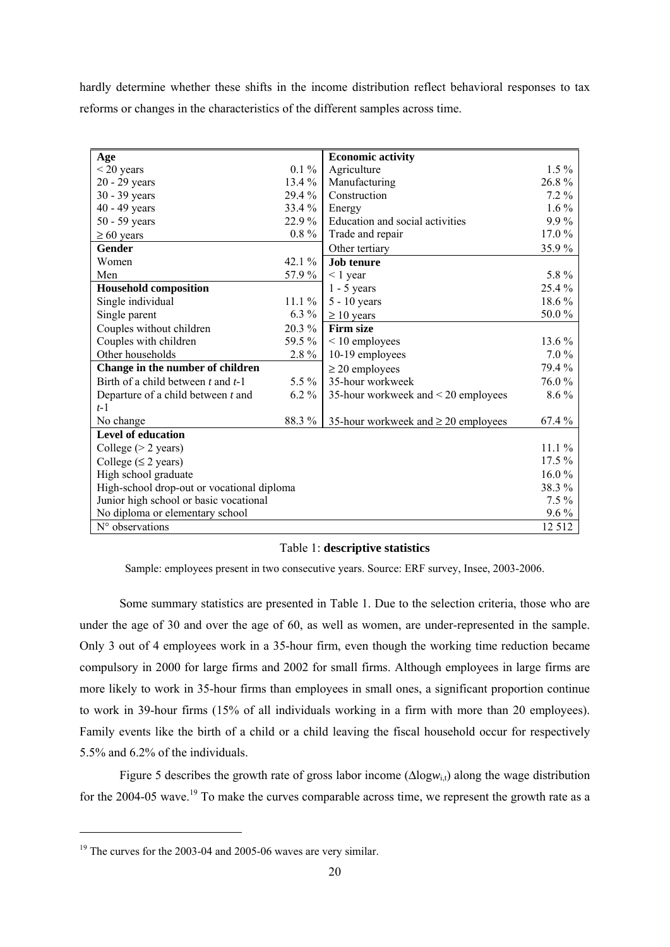hardly determine whether these shifts in the income distribution reflect behavioral responses to tax reforms or changes in the characteristics of the different samples across time.

|                                            |          | <b>Economic activity</b>                 |         |
|--------------------------------------------|----------|------------------------------------------|---------|
| Age                                        | $0.1\%$  | Agriculture                              | $1.5\%$ |
| $<$ 20 years                               | $13.4\%$ |                                          | 26.8%   |
| 20 - 29 years                              |          | Manufacturing                            |         |
| 30 - 39 years                              | 29.4%    | Construction                             | $7.2\%$ |
| 40 - 49 years                              | $33.4\%$ | Energy                                   | $1.6\%$ |
| 50 - 59 years                              |          | 22.9 % Education and social activities   | 9.9%    |
| $\geq 60$ years                            | $0.8\%$  | Trade and repair                         | 17.0%   |
| Gender                                     |          | Other tertiary                           | 35.9%   |
| Women                                      | 42.1 $%$ | <b>Job</b> tenure                        |         |
| Men                                        | 57.9 %   | $\leq 1$ year                            | 5.8%    |
| <b>Household composition</b>               |          | $1 - 5$ years                            | 25.4 %  |
| Single individual                          | 11.1%    | $5 - 10$ years                           | 18.6 %  |
| Single parent                              | $6.3\%$  | $\geq 10$ years                          | 50.0%   |
| Couples without children                   |          | $20.3\%$ Firm size                       |         |
| Couples with children                      | 59.5 %   | $<$ 10 employees                         | 13.6 %  |
| Other households                           | $2.8\%$  | 10-19 employees                          | $7.0\%$ |
| Change in the number of children           |          | $\geq$ 20 employees                      | 79.4 %  |
| Birth of a child between $t$ and $t-1$     | 5.5 $%$  | 35-hour workweek                         | 76.0%   |
| Departure of a child between $t$ and       | $6.2\%$  | 35-hour workweek and < 20 employees      | 8.6%    |
| $t-1$                                      |          |                                          |         |
| No change                                  | 88.3%    | 35-hour workweek and $\geq$ 20 employees | 67.4 %  |
| <b>Level of education</b>                  |          |                                          |         |
| College $(> 2 \text{ years})$              |          |                                          | 11.1%   |
| College $( \leq 2 \text{ years})$          |          |                                          | 17.5 %  |
| High school graduate                       |          |                                          | 16.0%   |
| High-school drop-out or vocational diploma |          |                                          | 38.3%   |
| Junior high school or basic vocational     |          |                                          | $7.5\%$ |
| No diploma or elementary school            |          |                                          | $9.6\%$ |
| N° observations                            |          |                                          | 12 5 12 |

#### Table 1: **descriptive statistics**

Sample: employees present in two consecutive years. Source: ERF survey, Insee, 2003-2006.

Some summary statistics are presented in Table 1. Due to the selection criteria, those who are under the age of 30 and over the age of 60, as well as women, are under-represented in the sample. Only 3 out of 4 employees work in a 35-hour firm, even though the working time reduction became compulsory in 2000 for large firms and 2002 for small firms. Although employees in large firms are more likely to work in 35-hour firms than employees in small ones, a significant proportion continue to work in 39-hour firms (15% of all individuals working in a firm with more than 20 employees). Family events like the birth of a child or a child leaving the fiscal household occur for respectively 5.5% and 6.2% of the individuals.

Figure 5 describes the growth rate of gross labor income  $(\Delta \log w_{i,t})$  along the wage distribution for the 2004-05 wave.<sup>19</sup> To make the curves comparable across time, we represent the growth rate as a

1

<sup>&</sup>lt;sup>19</sup> The curves for the 2003-04 and 2005-06 waves are very similar.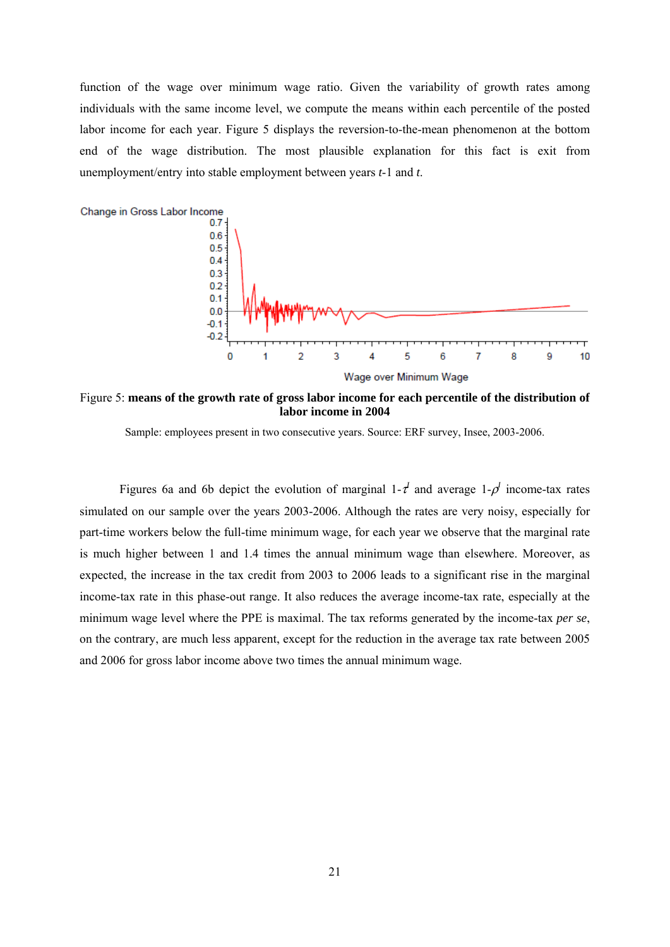function of the wage over minimum wage ratio. Given the variability of growth rates among individuals with the same income level, we compute the means within each percentile of the posted labor income for each year. Figure 5 displays the reversion-to-the-mean phenomenon at the bottom end of the wage distribution. The most plausible explanation for this fact is exit from unemployment/entry into stable employment between years *t*-1 and *t*.



Figure 5: **means of the growth rate of gross labor income for each percentile of the distribution of labor income in 2004**

Sample: employees present in two consecutive years. Source: ERF survey, Insee, 2003-2006.

Figures 6a and 6b depict the evolution of marginal  $1 - t^l$  and average  $1 - \rho^l$  income-tax rates simulated on our sample over the years 2003-2006. Although the rates are very noisy, especially for part-time workers below the full-time minimum wage, for each year we observe that the marginal rate is much higher between 1 and 1.4 times the annual minimum wage than elsewhere. Moreover, as expected, the increase in the tax credit from 2003 to 2006 leads to a significant rise in the marginal income-tax rate in this phase-out range. It also reduces the average income-tax rate, especially at the minimum wage level where the PPE is maximal. The tax reforms generated by the income-tax *per se*, on the contrary, are much less apparent, except for the reduction in the average tax rate between 2005 and 2006 for gross labor income above two times the annual minimum wage.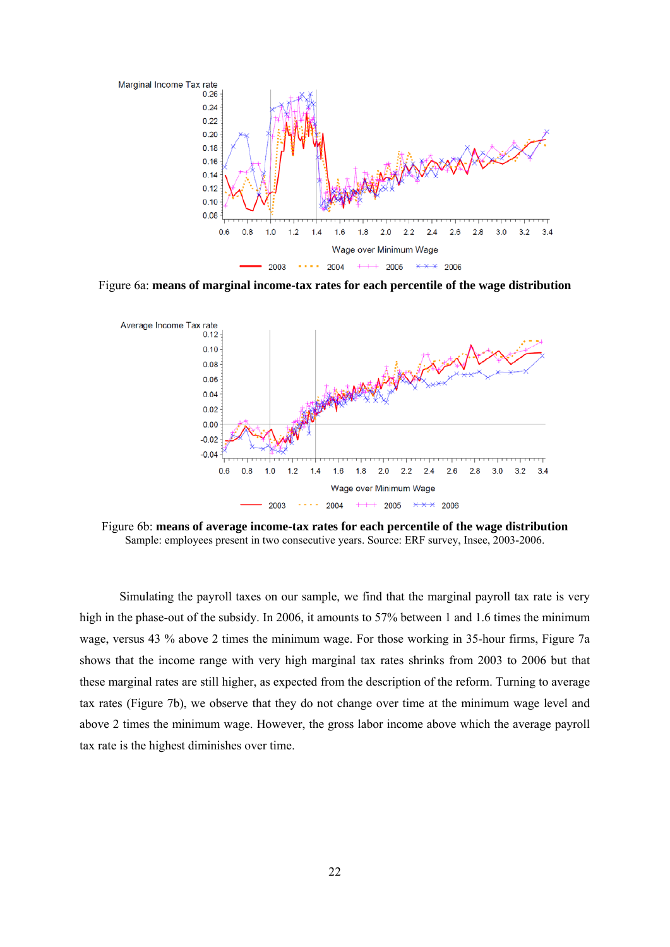

Figure 6a: **means of marginal income-tax rates for each percentile of the wage distribution**



Figure 6b: **means of average income-tax rates for each percentile of the wage distribution** Sample: employees present in two consecutive years. Source: ERF survey, Insee, 2003-2006.

Simulating the payroll taxes on our sample, we find that the marginal payroll tax rate is very high in the phase-out of the subsidy. In 2006, it amounts to 57% between 1 and 1.6 times the minimum wage, versus 43 % above 2 times the minimum wage. For those working in 35-hour firms, Figure 7a shows that the income range with very high marginal tax rates shrinks from 2003 to 2006 but that these marginal rates are still higher, as expected from the description of the reform. Turning to average tax rates (Figure 7b), we observe that they do not change over time at the minimum wage level and above 2 times the minimum wage. However, the gross labor income above which the average payroll tax rate is the highest diminishes over time.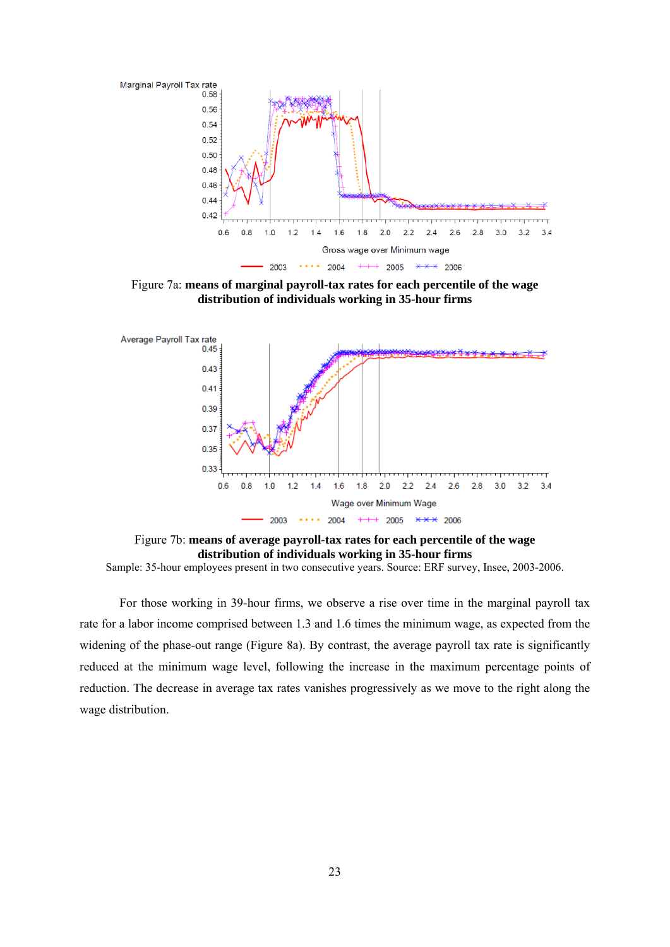

Figure 7a: **means of marginal payroll-tax rates for each percentile of the wage distribution of individuals working in 35-hour firms**



Figure 7b: **means of average payroll-tax rates for each percentile of the wage distribution of individuals working in 35-hour firms**

Sample: 35-hour employees present in two consecutive years. Source: ERF survey, Insee, 2003-2006.

For those working in 39-hour firms, we observe a rise over time in the marginal payroll tax rate for a labor income comprised between 1.3 and 1.6 times the minimum wage, as expected from the widening of the phase-out range (Figure 8a). By contrast, the average payroll tax rate is significantly reduced at the minimum wage level, following the increase in the maximum percentage points of reduction. The decrease in average tax rates vanishes progressively as we move to the right along the wage distribution.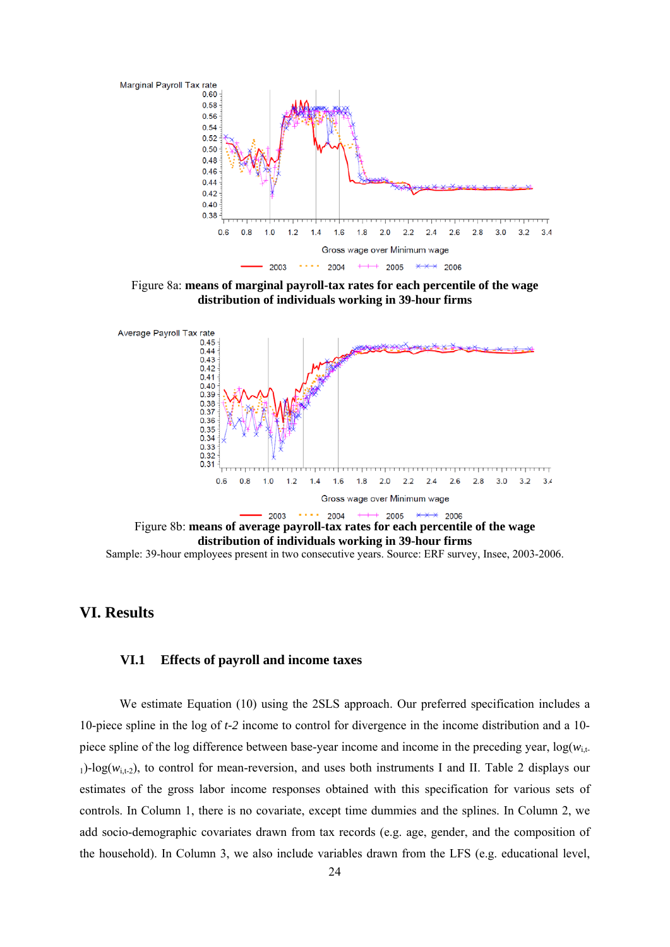

Figure 8a: **means of marginal payroll-tax rates for each percentile of the wage distribution of individuals working in 39-hour firms**



Sample: 39-hour employees present in two consecutive years. Source: ERF survey, Insee, 2003-2006.

# **VI. Results**

#### **VI.1 Effects of payroll and income taxes**

We estimate Equation (10) using the 2SLS approach. Our preferred specification includes a 10-piece spline in the log of *t-2* income to control for divergence in the income distribution and a 10 piece spline of the log difference between base-year income and income in the preceding year,  $log(w_{i,t-1})$  $1)$ -log( $w_{i,t-2}$ ), to control for mean-reversion, and uses both instruments I and II. Table 2 displays our estimates of the gross labor income responses obtained with this specification for various sets of controls. In Column 1, there is no covariate, except time dummies and the splines. In Column 2, we add socio-demographic covariates drawn from tax records (e.g. age, gender, and the composition of the household). In Column 3, we also include variables drawn from the LFS (e.g. educational level,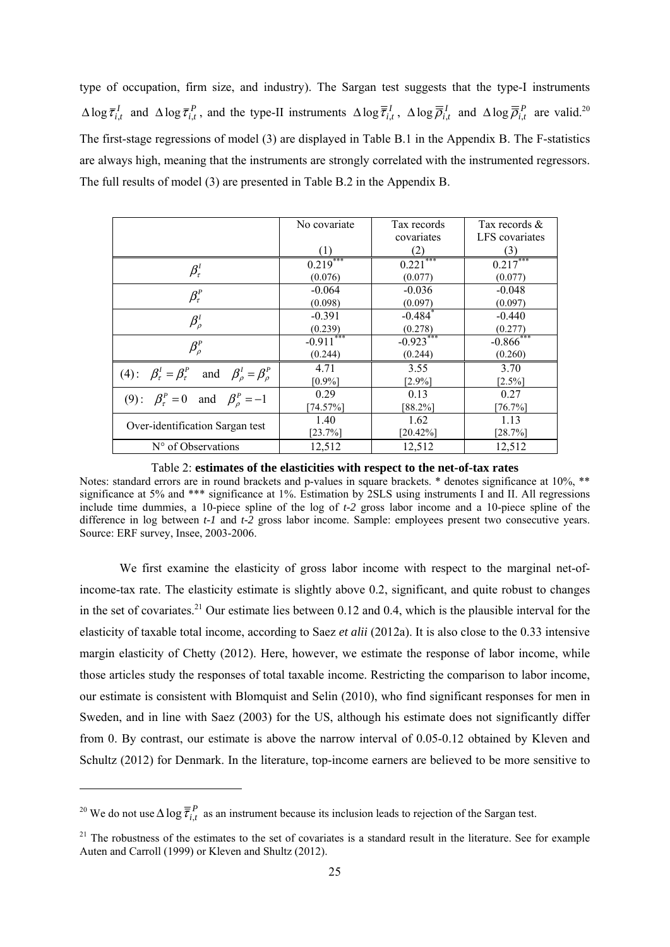type of occupation, firm size, and industry). The Sargan test suggests that the type-I instruments  $\Delta \log \overline{\tau}_{i,t}^I$  and  $\Delta \log \overline{\tau}_{i,t}^P$ , and the type-II instruments  $\Delta \log \overline{\overline{\tau}}_{i,t}^I$ ,  $\Delta \log \overline{\overline{\rho}}_{i,t}^I$  and  $\Delta \log \overline{\overline{\rho}}_{i,t}^P$  are valid.<sup>20</sup> The first-stage regressions of model (3) are displayed in Table B.1 in the Appendix B. The F-statistics are always high, meaning that the instruments are strongly correlated with the instrumented regressors. The full results of model (3) are presented in Table B.2 in the Appendix B.

|                                                                              | No covariate | Tax records           | Tax records $\&$        |
|------------------------------------------------------------------------------|--------------|-----------------------|-------------------------|
|                                                                              |              | covariates            | LFS covariates          |
|                                                                              |              | (2)                   | (3)                     |
| $\beta^{\scriptscriptstyle I}_{\scriptscriptstyle{\tau}}$                    | $0.219***$   | 0.221                 | $0.217***$              |
|                                                                              | (0.076)      | (0.077)               | (0.077)                 |
| $\beta_\tau^P$                                                               | $-0.064$     | $-0.036$              | $-0.048$                |
|                                                                              | (0.098)      | (0.097)               | (0.097)                 |
| $\beta^{\scriptscriptstyle I}_\rho$                                          | $-0.391$     | $-0.484$ <sup>*</sup> | $-0.440$                |
|                                                                              | (0.239)      | (0.278)               | (0.277)                 |
| $\beta^{\scriptscriptstyle P}_{\scriptscriptstyle \rho}$                     | $-0.911***$  | $-0.923***$           | $-0.866$ <sup>***</sup> |
|                                                                              | (0.244)      | (0.244)               | (0.260)                 |
| (4): $\beta_{\tau}^I = \beta_{\tau}^P$ and $\beta_{\rho}^I = \beta_{\rho}^P$ | 4.71         | 3.55                  | 3.70                    |
|                                                                              | $[0.9\%]$    | [2.9%]                | [2.5%]                  |
| (9): $\beta_r^P = 0$ and $\beta_o^P = -1$                                    | 0.29         | 0.13                  | 0.27                    |
|                                                                              | $[74.57\%]$  | [88.2%]               | $[76.7\%]$              |
| Over-identification Sargan test                                              | 1.40         | 1.62                  | 1.13                    |
|                                                                              | [23.7%]      | $[20.42\%]$           | [28.7%]                 |
| $N^{\circ}$ of Observations                                                  | 12,512       | 12,512                | 12,512                  |

#### Table 2: **estimates of the elasticities with respect to the net-of-tax rates**

Notes: standard errors are in round brackets and p-values in square brackets. \* denotes significance at 10%, \*\* significance at 5% and \*\*\* significance at 1%. Estimation by 2SLS using instruments I and II. All regressions include time dummies, a 10-piece spline of the log of *t-2* gross labor income and a 10-piece spline of the difference in log between *t-1* and *t-2* gross labor income. Sample: employees present two consecutive years. Source: ERF survey, Insee, 2003-2006.

We first examine the elasticity of gross labor income with respect to the marginal net-ofincome-tax rate. The elasticity estimate is slightly above 0.2, significant, and quite robust to changes in the set of covariates.<sup>21</sup> Our estimate lies between 0.12 and 0.4, which is the plausible interval for the elasticity of taxable total income, according to Saez *et alii* (2012a). It is also close to the 0.33 intensive margin elasticity of Chetty (2012). Here, however, we estimate the response of labor income, while those articles study the responses of total taxable income. Restricting the comparison to labor income, our estimate is consistent with Blomquist and Selin (2010), who find significant responses for men in Sweden, and in line with Saez (2003) for the US, although his estimate does not significantly differ from 0. By contrast, our estimate is above the narrow interval of 0.05-0.12 obtained by Kleven and Schultz (2012) for Denmark. In the literature, top-income earners are believed to be more sensitive to

-

<sup>&</sup>lt;sup>20</sup> We do not use  $\Delta \log \overline{\overline{t}}_{i,t}^P$  as an instrument because its inclusion leads to rejection of the Sargan test.

 $21$  The robustness of the estimates to the set of covariates is a standard result in the literature. See for example Auten and Carroll (1999) or Kleven and Shultz (2012).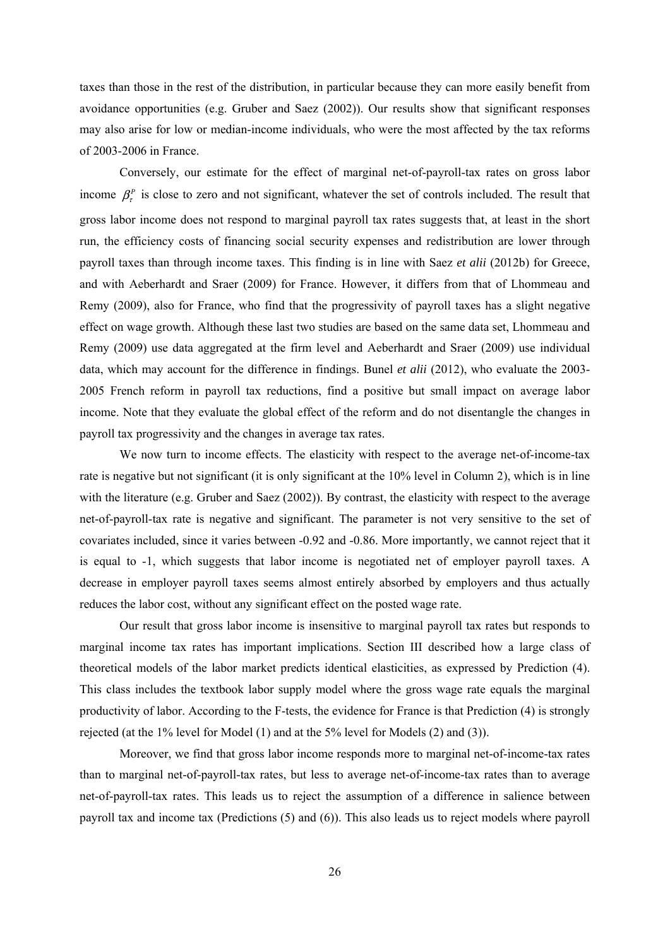taxes than those in the rest of the distribution, in particular because they can more easily benefit from avoidance opportunities (e.g. Gruber and Saez (2002)). Our results show that significant responses may also arise for low or median-income individuals, who were the most affected by the tax reforms of 2003-2006 in France.

Conversely, our estimate for the effect of marginal net-of-payroll-tax rates on gross labor income  $\beta_r^p$  is close to zero and not significant, whatever the set of controls included. The result that gross labor income does not respond to marginal payroll tax rates suggests that, at least in the short run, the efficiency costs of financing social security expenses and redistribution are lower through payroll taxes than through income taxes. This finding is in line with Saez *et alii* (2012b) for Greece, and with Aeberhardt and Sraer (2009) for France. However, it differs from that of Lhommeau and Remy (2009), also for France, who find that the progressivity of payroll taxes has a slight negative effect on wage growth. Although these last two studies are based on the same data set, Lhommeau and Remy (2009) use data aggregated at the firm level and Aeberhardt and Sraer (2009) use individual data, which may account for the difference in findings. Bunel *et alii* (2012), who evaluate the 2003- 2005 French reform in payroll tax reductions, find a positive but small impact on average labor income. Note that they evaluate the global effect of the reform and do not disentangle the changes in payroll tax progressivity and the changes in average tax rates.

We now turn to income effects. The elasticity with respect to the average net-of-income-tax rate is negative but not significant (it is only significant at the 10% level in Column 2), which is in line with the literature (e.g. Gruber and Saez (2002)). By contrast, the elasticity with respect to the average net-of-payroll-tax rate is negative and significant. The parameter is not very sensitive to the set of covariates included, since it varies between -0.92 and -0.86. More importantly, we cannot reject that it is equal to -1, which suggests that labor income is negotiated net of employer payroll taxes. A decrease in employer payroll taxes seems almost entirely absorbed by employers and thus actually reduces the labor cost, without any significant effect on the posted wage rate.

Our result that gross labor income is insensitive to marginal payroll tax rates but responds to marginal income tax rates has important implications. Section III described how a large class of theoretical models of the labor market predicts identical elasticities, as expressed by Prediction (4). This class includes the textbook labor supply model where the gross wage rate equals the marginal productivity of labor. According to the F-tests, the evidence for France is that Prediction (4) is strongly rejected (at the 1% level for Model (1) and at the 5% level for Models (2) and (3)).

Moreover, we find that gross labor income responds more to marginal net-of-income-tax rates than to marginal net-of-payroll-tax rates, but less to average net-of-income-tax rates than to average net-of-payroll-tax rates. This leads us to reject the assumption of a difference in salience between payroll tax and income tax (Predictions (5) and (6)). This also leads us to reject models where payroll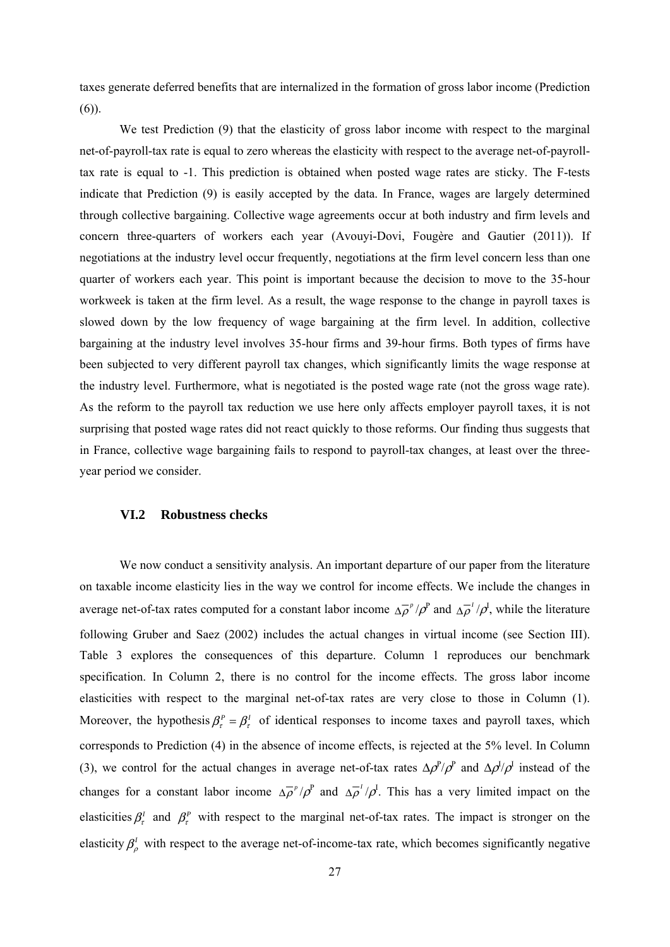taxes generate deferred benefits that are internalized in the formation of gross labor income (Prediction (6)).

We test Prediction (9) that the elasticity of gross labor income with respect to the marginal net-of-payroll-tax rate is equal to zero whereas the elasticity with respect to the average net-of-payrolltax rate is equal to -1. This prediction is obtained when posted wage rates are sticky. The F-tests indicate that Prediction (9) is easily accepted by the data. In France, wages are largely determined through collective bargaining. Collective wage agreements occur at both industry and firm levels and concern three-quarters of workers each year (Avouyi-Dovi, Fougère and Gautier (2011)). If negotiations at the industry level occur frequently, negotiations at the firm level concern less than one quarter of workers each year. This point is important because the decision to move to the 35-hour workweek is taken at the firm level. As a result, the wage response to the change in payroll taxes is slowed down by the low frequency of wage bargaining at the firm level. In addition, collective bargaining at the industry level involves 35-hour firms and 39-hour firms. Both types of firms have been subjected to very different payroll tax changes, which significantly limits the wage response at the industry level. Furthermore, what is negotiated is the posted wage rate (not the gross wage rate). As the reform to the payroll tax reduction we use here only affects employer payroll taxes, it is not surprising that posted wage rates did not react quickly to those reforms. Our finding thus suggests that in France, collective wage bargaining fails to respond to payroll-tax changes, at least over the threeyear period we consider.

#### **VI.2 Robustness checks**

We now conduct a sensitivity analysis. An important departure of our paper from the literature on taxable income elasticity lies in the way we control for income effects. We include the changes in average net-of-tax rates computed for a constant labor income  $\Delta \overline{\rho}^p/\rho^p$  and  $\Delta \overline{\rho}^1/\rho^I$ , while the literature following Gruber and Saez (2002) includes the actual changes in virtual income (see Section III). Table 3 explores the consequences of this departure. Column 1 reproduces our benchmark specification. In Column 2, there is no control for the income effects. The gross labor income elasticities with respect to the marginal net-of-tax rates are very close to those in Column (1). Moreover, the hypothesis  $\beta_r^P = \beta_r^I$  of identical responses to income taxes and payroll taxes, which corresponds to Prediction (4) in the absence of income effects, is rejected at the 5% level. In Column (3), we control for the actual changes in average net-of-tax rates  $\Delta \rho^P/\rho^P$  and  $\Delta \rho^I/\rho^I$  instead of the changes for a constant labor income  $\Delta \overline{\rho}^p / \rho^p$  and  $\Delta \overline{\rho}^1 / \rho^I$ . This has a very limited impact on the elasticities  $\beta_t^I$  and  $\beta_t^P$  with respect to the marginal net-of-tax rates. The impact is stronger on the elasticity  $\beta_o^l$  with respect to the average net-of-income-tax rate, which becomes significantly negative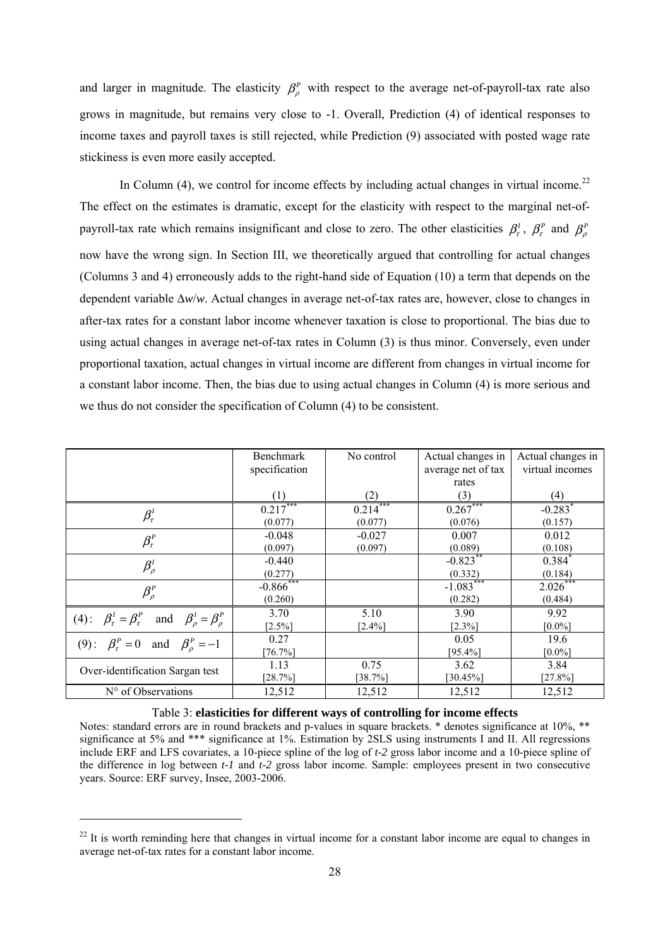and larger in magnitude. The elasticity  $\beta_{\rho}^{P}$  with respect to the average net-of-payroll-tax rate also grows in magnitude, but remains very close to *-*1. Overall, Prediction (4) of identical responses to income taxes and payroll taxes is still rejected, while Prediction (9) associated with posted wage rate stickiness is even more easily accepted.

In Column (4), we control for income effects by including actual changes in virtual income.<sup>22</sup> The effect on the estimates is dramatic, except for the elasticity with respect to the marginal net-ofpayroll-tax rate which remains insignificant and close to zero. The other elasticities  $\beta_t^1$ ,  $\beta_t^p$  and  $\beta_s^p$ now have the wrong sign. In Section III, we theoretically argued that controlling for actual changes (Columns 3 and 4) erroneously adds to the right-hand side of Equation (10) a term that depends on the dependent variable Δ*w*/*w*. Actual changes in average net-of-tax rates are, however, close to changes in after-tax rates for a constant labor income whenever taxation is close to proportional. The bias due to using actual changes in average net-of-tax rates in Column (3) is thus minor. Conversely, even under proportional taxation, actual changes in virtual income are different from changes in virtual income for a constant labor income. Then, the bias due to using actual changes in Column (4) is more serious and we thus do not consider the specification of Column (4) to be consistent.

|                                                                              | <b>Benchmark</b> | No control | Actual changes in  | Actual changes in     |
|------------------------------------------------------------------------------|------------------|------------|--------------------|-----------------------|
|                                                                              | specification    |            | average net of tax | virtual incomes       |
|                                                                              |                  |            | rates              |                       |
|                                                                              | (1)              | (2)        | (3)                | (4)                   |
| $\beta^{\scriptscriptstyle I}_{\scriptscriptstyle\tau}$                      | $0.217***$       | $0.214***$ | 0.267              | $-0.283$ <sup>*</sup> |
|                                                                              | (0.077)          | (0.077)    | (0.076)            | (0.157)               |
| $\beta_\tau^{\scriptscriptstyle P}$                                          | $-0.048$         | $-0.027$   | 0.007              | 0.012                 |
|                                                                              | (0.097)          | (0.097)    | (0.089)            | (0.108)               |
| $\beta^{\scriptscriptstyle I}_\rho$                                          | $-0.440$         |            | $-0.823**$         | $0.384^{*}$           |
|                                                                              | (0.277)          |            | (0.332)            | (0.184)               |
| $\beta^{\scriptscriptstyle P}_\rho$                                          | $-0.866$ ***     |            | $-1.083***$        | $2.026***$            |
|                                                                              | (0.260)          |            | (0.282)            | (0.484)               |
| (4): $\beta_{\tau}^I = \beta_{\tau}^P$ and $\beta_{\rho}^I = \beta_{\rho}^P$ | 3.70             | 5.10       | 3.90               | 9.92                  |
|                                                                              | $[2.5\%]$        | $[2.4\%]$  | [2.3%]             | $[0.0\%]$             |
| (9): $\beta_r^P = 0$ and $\beta_o^P = -1$                                    | 0.27             |            | 0.05               | 19.6                  |
|                                                                              | $76.7\%$         |            | $[95.4\%]$         | $[0.0\%]$             |
| Over-identification Sargan test                                              | 1.13             | 0.75       | 3.62               | 3.84                  |
|                                                                              | [28.7%]          | [38.7%]    | $[30.45\%]$        | [27.8%]               |
| $N^{\circ}$ of Observations                                                  | 12,512           | 12,512     | 12,512             | 12,512                |

#### Table 3: **elasticities for different ways of controlling for income effects**

Notes: standard errors are in round brackets and p-values in square brackets. \* denotes significance at 10%, \*\* significance at 5% and \*\*\* significance at 1%. Estimation by 2SLS using instruments I and II. All regressions include ERF and LFS covariates, a 10-piece spline of the log of *t-2* gross labor income and a 10-piece spline of the difference in log between *t-1* and *t-2* gross labor income. Sample: employees present in two consecutive years. Source: ERF survey, Insee, 2003-2006.

-

 $22$  It is worth reminding here that changes in virtual income for a constant labor income are equal to changes in average net-of-tax rates for a constant labor income.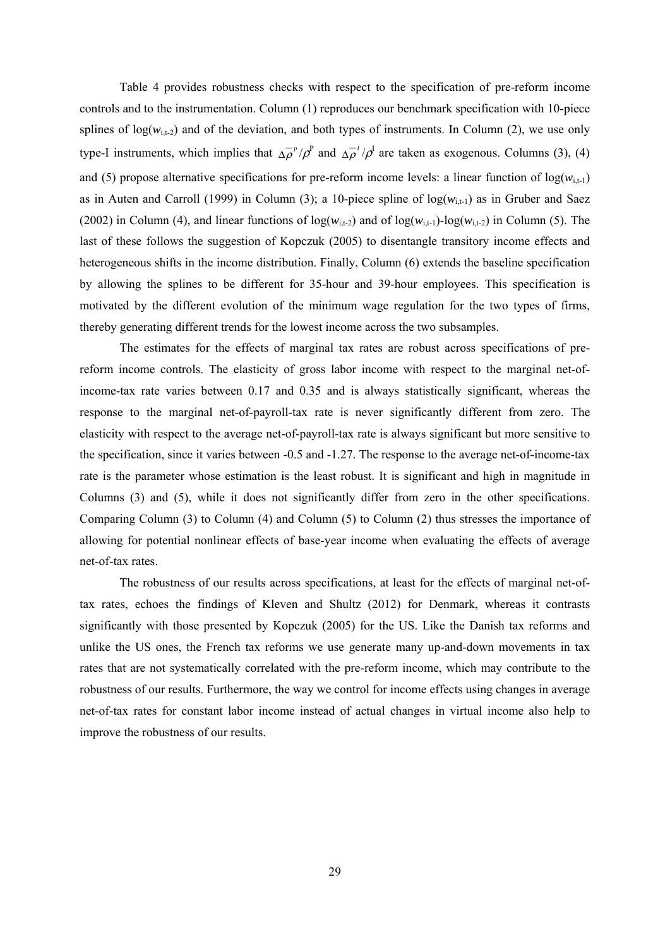Table 4 provides robustness checks with respect to the specification of pre-reform income controls and to the instrumentation. Column (1) reproduces our benchmark specification with 10-piece splines of  $log(w_{i,t-2})$  and of the deviation, and both types of instruments. In Column (2), we use only type-I instruments, which implies that  $\Delta \overline{\rho}^p / \rho^p$  and  $\Delta \overline{\rho}^1 / \rho^I$  are taken as exogenous. Columns (3), (4) and (5) propose alternative specifications for pre-reform income levels: a linear function of  $log(w_{i,t-1})$ as in Auten and Carroll (1999) in Column (3); a 10-piece spline of  $log(w_{i,t-1})$  as in Gruber and Saez (2002) in Column (4), and linear functions of  $log(w_{i,t-2})$  and of  $log(w_{i,t-1})$ -log( $w_{i,t-2}$ ) in Column (5). The last of these follows the suggestion of Kopczuk (2005) to disentangle transitory income effects and heterogeneous shifts in the income distribution. Finally, Column (6) extends the baseline specification by allowing the splines to be different for 35-hour and 39-hour employees. This specification is motivated by the different evolution of the minimum wage regulation for the two types of firms, thereby generating different trends for the lowest income across the two subsamples.

The estimates for the effects of marginal tax rates are robust across specifications of prereform income controls. The elasticity of gross labor income with respect to the marginal net-ofincome-tax rate varies between 0.17 and 0.35 and is always statistically significant, whereas the response to the marginal net-of-payroll-tax rate is never significantly different from zero. The elasticity with respect to the average net-of-payroll-tax rate is always significant but more sensitive to the specification, since it varies between -0.5 and -1.27. The response to the average net-of-income-tax rate is the parameter whose estimation is the least robust. It is significant and high in magnitude in Columns (3) and (5), while it does not significantly differ from zero in the other specifications. Comparing Column (3) to Column (4) and Column (5) to Column (2) thus stresses the importance of allowing for potential nonlinear effects of base-year income when evaluating the effects of average net-of-tax rates.

The robustness of our results across specifications, at least for the effects of marginal net-oftax rates, echoes the findings of Kleven and Shultz (2012) for Denmark, whereas it contrasts significantly with those presented by Kopczuk (2005) for the US. Like the Danish tax reforms and unlike the US ones, the French tax reforms we use generate many up-and-down movements in tax rates that are not systematically correlated with the pre-reform income, which may contribute to the robustness of our results. Furthermore, the way we control for income effects using changes in average net-of-tax rates for constant labor income instead of actual changes in virtual income also help to improve the robustness of our results.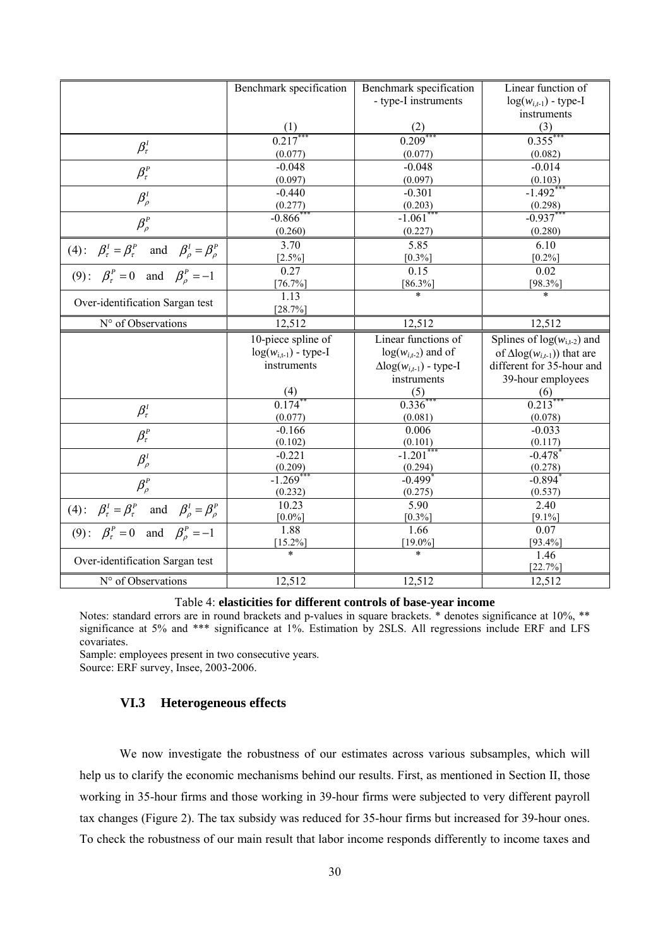|                                                                                      | Benchmark specification   | Benchmark specification              | Linear function of                       |
|--------------------------------------------------------------------------------------|---------------------------|--------------------------------------|------------------------------------------|
|                                                                                      |                           | - type-I instruments                 | $log(w_{i,t-1})$ - type-I                |
|                                                                                      |                           |                                      | instruments                              |
|                                                                                      | (1)                       | (2)                                  | (3)                                      |
| $\beta^{\scriptscriptstyle I}_{\scriptscriptstyle{\tau}}$                            | $0.217***$                | $0.209$ **                           | $0.355***$                               |
|                                                                                      | (0.077)                   | (0.077)                              | (0.082)                                  |
| $\beta_{\tau}^{\scriptscriptstyle{P}}$                                               | $-0.048$                  | $-0.048$                             | $-0.014$                                 |
|                                                                                      | (0.097)                   | (0.097)                              | (0.103)                                  |
| $\beta^{\scriptscriptstyle I}_{\scriptscriptstyle \rho}$                             | $-0.440$                  | $-0.301$                             | $-1.492$ **                              |
|                                                                                      | (0.277)                   | (0.203)                              | (0.298)                                  |
| $\beta^{\scriptscriptstyle P}_{\scriptscriptstyle \rho}$                             | $-0.866^*$                | $-1.061$ **                          | $-0.937$ **                              |
|                                                                                      | (0.260)                   | (0.227)                              | (0.280)                                  |
| (4): $\beta_{\tau}^{I} = \beta_{\tau}^{P}$ and $\beta_{\rho}^{I} = \beta_{\rho}^{P}$ | 3.70                      | 5.85                                 | 6.10                                     |
|                                                                                      | $[2.5\%]$                 | $[0.3\%]$                            | $[0.2\%]$                                |
| (9): $\beta_{\tau}^{P} = 0$ and $\beta_{\rho}^{P} = -1$                              | 0.27                      | 0.15                                 | 0.02                                     |
|                                                                                      | $[76.7\%]$                | $[86.3\%]$<br>$\ast$                 | $\frac{[98.3\%]}{*}$                     |
| Over-identification Sargan test                                                      | 1.13                      |                                      |                                          |
|                                                                                      | [28.7%]                   |                                      |                                          |
| N° of Observations                                                                   | 12,512                    | 12,512                               | 12,512                                   |
|                                                                                      | 10-piece spline of        | Linear functions of                  | Splines of $log(w_{i,t-2})$ and          |
|                                                                                      | $log(w_{i,t-1})$ - type-I | $log(w_{i,t-2})$ and of              | of $\Delta$ log( $w_{i,t-1}$ )) that are |
|                                                                                      | instruments               | $\Delta$ log( $w_{i,t-1}$ ) - type-I | different for 35-hour and                |
|                                                                                      |                           | instruments                          | 39-hour employees                        |
|                                                                                      | $\frac{(4)}{0.174}$       | $\frac{(5)}{0.336}$                  | $\frac{(6)}{0.213}$                      |
| $\beta^{\scriptscriptstyle I}_{\scriptscriptstyle{\tau}}$                            |                           |                                      |                                          |
|                                                                                      | (0.077)                   | (0.081)                              | (0.078)                                  |
| $\beta_\tau^{\scriptscriptstyle P}$                                                  | $-0.166$                  | 0.006                                | $-0.033$                                 |
|                                                                                      | (0.102)                   | (0.101)                              | (0.117)                                  |
| $\beta^{\scriptscriptstyle I}_{\scriptscriptstyle \rho}$                             | $-0.221$                  | $-1.201$ ***                         | $-0.478$ <sup>*</sup>                    |
|                                                                                      | (0.209)                   | (0.294)<br>$-0.499$ <sup>*</sup>     | (0.278)                                  |
| $\beta^{\scriptscriptstyle P}_{\scriptscriptstyle \rho}$                             | $-1.269$ <sup>*</sup>     |                                      | $-0.894$ <sup>*</sup>                    |
|                                                                                      | (0.232)<br>10.23          | (0.275)<br>5.90                      | (0.537)<br>2.40                          |
| (4): $\beta_{\tau}^I = \beta_{\tau}^P$ and $\beta_{\rho}^I = \beta_{\rho}^P$         | $[0.0\%]$                 | $[0.3\%]$                            | $[9.1\%]$                                |
|                                                                                      | 1.88                      | 1.66                                 | 0.07                                     |
| (9): $\beta_{\tau}^{P} = 0$ and $\beta_{\rho}^{P} = -1$                              | $[15.2\%]$                | $[19.0\%]$                           | $[93.4\%]$                               |
|                                                                                      | $\ast$                    | $\ast$                               | 1.46                                     |
| Over-identification Sargan test                                                      |                           |                                      | [22.7%]                                  |
| N° of Observations                                                                   | 12,512                    | 12,512                               | 12,512                                   |

#### Table 4: **elasticities for different controls of base-year income**

Notes: standard errors are in round brackets and p-values in square brackets. \* denotes significance at 10%, \*\* significance at 5% and \*\*\* significance at 1%. Estimation by 2SLS. All regressions include ERF and LFS covariates.

Sample: employees present in two consecutive years. Source: ERF survey, Insee, 2003-2006.

## **VI.3 Heterogeneous effects**

We now investigate the robustness of our estimates across various subsamples, which will help us to clarify the economic mechanisms behind our results. First, as mentioned in Section II, those working in 35-hour firms and those working in 39-hour firms were subjected to very different payroll tax changes (Figure 2). The tax subsidy was reduced for 35-hour firms but increased for 39-hour ones. To check the robustness of our main result that labor income responds differently to income taxes and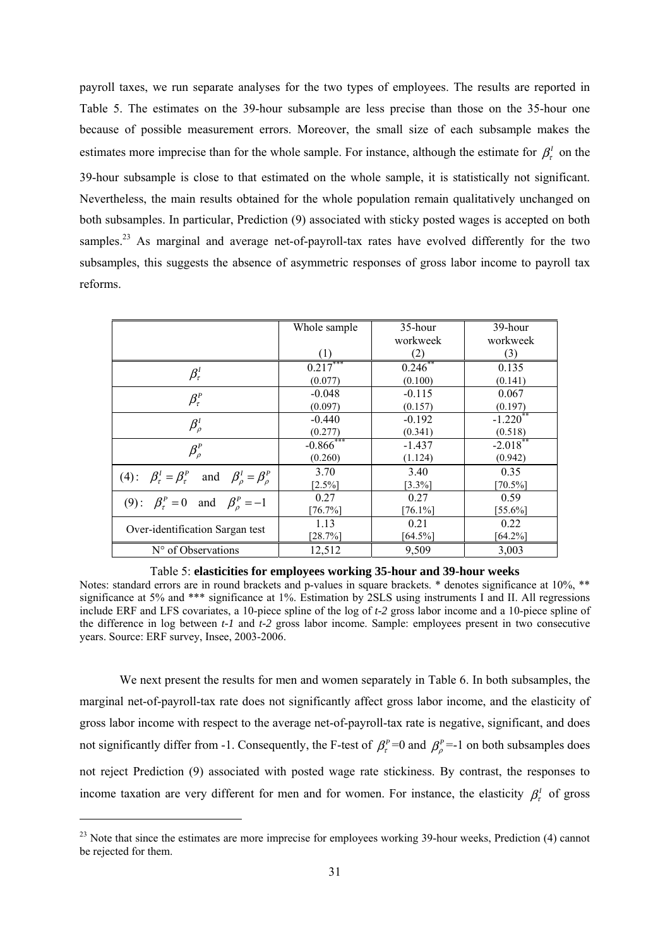payroll taxes, we run separate analyses for the two types of employees. The results are reported in Table 5. The estimates on the 39-hour subsample are less precise than those on the 35-hour one because of possible measurement errors. Moreover, the small size of each subsample makes the estimates more imprecise than for the whole sample. For instance, although the estimate for  $\beta_{\tau}^{I}$  on the 39-hour subsample is close to that estimated on the whole sample, it is statistically not significant. Nevertheless, the main results obtained for the whole population remain qualitatively unchanged on both subsamples. In particular, Prediction (9) associated with sticky posted wages is accepted on both samples.<sup>23</sup> As marginal and average net-of-payroll-tax rates have evolved differently for the two subsamples, this suggests the absence of asymmetric responses of gross labor income to payroll tax reforms.

|                                                                              | Whole sample | 35-hour    | 39-hour     |
|------------------------------------------------------------------------------|--------------|------------|-------------|
|                                                                              |              | workweek   | workweek    |
|                                                                              | (1)          | (2)        | (3)         |
| $\beta^{\scriptscriptstyle I}_{\scriptscriptstyle{\tau}}$                    | $0.217***$   | $0.246$ ** | 0.135       |
|                                                                              | (0.077)      | (0.100)    | (0.141)     |
| $\beta_\tau^{\scriptscriptstyle P}$                                          | $-0.048$     | $-0.115$   | 0.067       |
|                                                                              | (0.097)      | (0.157)    | (0.197)     |
| $\beta^{\scriptscriptstyle I}_{\scriptscriptstyle \rho}$                     | $-0.440$     | $-0.192$   | $-1.220$ ** |
|                                                                              | (0.277)      | (0.341)    | (0.518)     |
| $\beta^{\scriptscriptstyle P}_{\scriptscriptstyle \rho}$                     | $-0.866$ *** | $-1.437$   | $-2.018$ ** |
|                                                                              | (0.260)      | (1.124)    | (0.942)     |
| (4): $\beta_{\tau}^I = \beta_{\tau}^P$ and $\beta_{\rho}^I = \beta_{\rho}^P$ | 3.70         | 3.40       | 0.35        |
|                                                                              | $[2.5\%]$    | [3.3%]     | $[70.5\%]$  |
| (9): $\beta_r^P = 0$ and $\beta_o^P = -1$                                    | 0.27         | 0.27       | 0.59        |
|                                                                              | $[76.7\%]$   | $[76.1\%]$ | $[55.6\%]$  |
| Over-identification Sargan test                                              | 1.13         | 0.21       | 0.22        |
|                                                                              | [28.7%]      | $[64.5\%]$ | [64.2%]     |
| N° of Observations                                                           | 12,512       | 9,509      | 3,003       |

Table 5: **elasticities for employees working 35-hour and 39-hour weeks** Notes: standard errors are in round brackets and p-values in square brackets. \* denotes significance at 10%, \*\* significance at 5% and \*\*\* significance at 1%. Estimation by 2SLS using instruments I and II. All regressions include ERF and LFS covariates, a 10-piece spline of the log of *t-2* gross labor income and a 10-piece spline of the difference in log between *t-1* and *t-2* gross labor income. Sample: employees present in two consecutive years. Source: ERF survey, Insee, 2003-2006.

 We next present the results for men and women separately in Table 6. In both subsamples, the marginal net-of-payroll-tax rate does not significantly affect gross labor income, and the elasticity of gross labor income with respect to the average net-of-payroll-tax rate is negative, significant, and does not significantly differ from -1. Consequently, the F-test of  $\beta_r^P=0$  and  $\beta_o^P=1$  on both subsamples does not reject Prediction (9) associated with posted wage rate stickiness. By contrast, the responses to income taxation are very different for men and for women. For instance, the elasticity  $\beta_t^1$  of gross

-

<sup>&</sup>lt;sup>23</sup> Note that since the estimates are more imprecise for employees working 39-hour weeks, Prediction (4) cannot be rejected for them.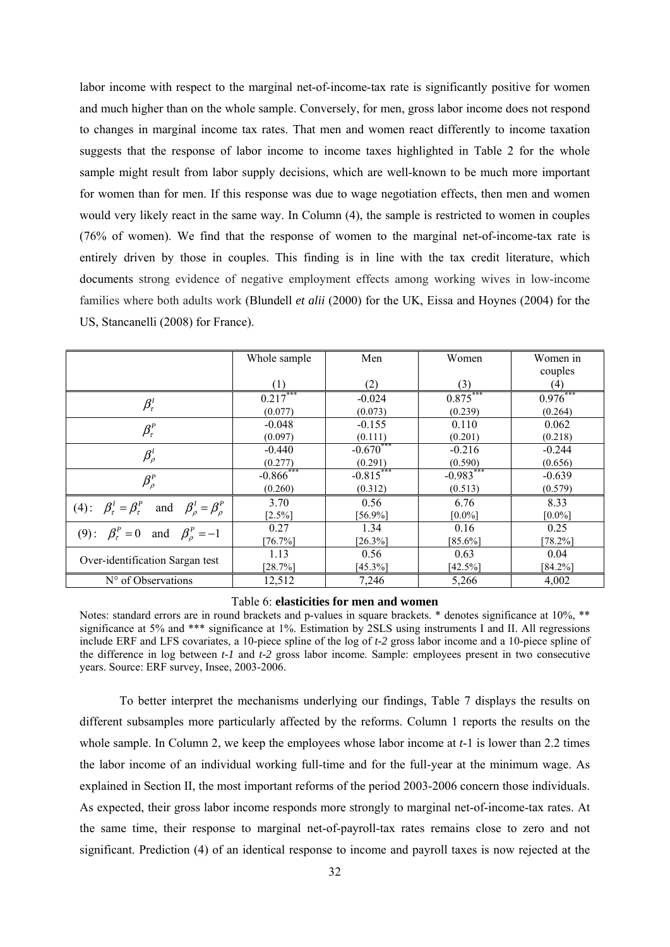labor income with respect to the marginal net-of-income-tax rate is significantly positive for women and much higher than on the whole sample. Conversely, for men, gross labor income does not respond to changes in marginal income tax rates. That men and women react differently to income taxation suggests that the response of labor income to income taxes highlighted in Table 2 for the whole sample might result from labor supply decisions, which are well-known to be much more important for women than for men. If this response was due to wage negotiation effects, then men and women would very likely react in the same way. In Column (4), the sample is restricted to women in couples (76% of women). We find that the response of women to the marginal net-of-income-tax rate is entirely driven by those in couples. This finding is in line with the tax credit literature, which documents strong evidence of negative employment effects among working wives in low-income families where both adults work (Blundell *et alii* (2000) for the UK, Eissa and Hoynes (2004) for the US, Stancanelli (2008) for France).

|                                                                              | Whole sample          | Men                                | Women                 | Women in<br>couples   |
|------------------------------------------------------------------------------|-----------------------|------------------------------------|-----------------------|-----------------------|
|                                                                              | (1)                   | (2)                                | (3)                   | (4)                   |
| $\beta^{\scriptscriptstyle I}_{\scriptscriptstyle{\tau}}$                    | $0.217***$<br>(0.077) | $-0.024$<br>(0.073)                | $0.875***$<br>(0.239) | $0.976***$<br>(0.264) |
| $\beta_\tau^{\scriptscriptstyle P}$                                          | $-0.048$              | $-0.155$                           | 0.110                 | 0.062                 |
|                                                                              | (0.097)               | (0.111)<br>$-0.670$ <sup>***</sup> | (0.201)               | (0.218)               |
| $\beta^{\scriptscriptstyle I}_{\scriptscriptstyle \rho}$                     | $-0.440$<br>(0.277)   | (0.291)                            | $-0.216$<br>(0.590)   | $-0.244$<br>(0.656)   |
| $\beta^{\scriptscriptstyle P}_{\scriptscriptstyle \rho}$                     | $-0.866$ ***          | $-0.815***$                        | $-0.983***$           | $-0.639$              |
|                                                                              | (0.260)<br>3.70       | (0.312)<br>0.56                    | (0.513)<br>6.76       | (0.579)<br>8.33       |
| (4): $\beta_{\tau}^I = \beta_{\tau}^P$ and $\beta_{\rho}^I = \beta_{\rho}^P$ | $[2.5\%]$             | $[56.9\%]$                         | $[0.0\%]$             | $[0.0\%]$             |
| (9): $\beta_{\tau}^{P} = 0$ and $\beta_{\rho}^{P} = -1$                      | 0.27<br>$[76.7\%]$    | 1.34                               | 0.16                  | 0.25                  |
|                                                                              | 1.13                  | $[26.3\%]$<br>0.56                 | $[85.6\%]$<br>0.63    | $[78.2\%]$<br>0.04    |
| Over-identification Sargan test                                              | [28.7%]               | $[45.3\%]$                         | $[42.5\%]$            | $[84.2\%]$            |
| N° of Observations                                                           | 12,512                | 7,246                              | 5,266                 | 4,002                 |

#### Table 6: **elasticities for men and women**

Notes: standard errors are in round brackets and p-values in square brackets. \* denotes significance at 10%, \*\* significance at 5% and \*\*\* significance at 1%. Estimation by 2SLS using instruments I and II. All regressions include ERF and LFS covariates, a 10-piece spline of the log of *t-2* gross labor income and a 10-piece spline of the difference in log between *t-1* and *t-2* gross labor income. Sample: employees present in two consecutive years. Source: ERF survey, Insee, 2003-2006.

To better interpret the mechanisms underlying our findings, Table 7 displays the results on different subsamples more particularly affected by the reforms. Column 1 reports the results on the whole sample. In Column 2, we keep the employees whose labor income at *t*-1 is lower than 2.2 times the labor income of an individual working full-time and for the full-year at the minimum wage. As explained in Section II, the most important reforms of the period 2003-2006 concern those individuals. As expected, their gross labor income responds more strongly to marginal net-of-income-tax rates. At the same time, their response to marginal net-of-payroll-tax rates remains close to zero and not significant. Prediction (4) of an identical response to income and payroll taxes is now rejected at the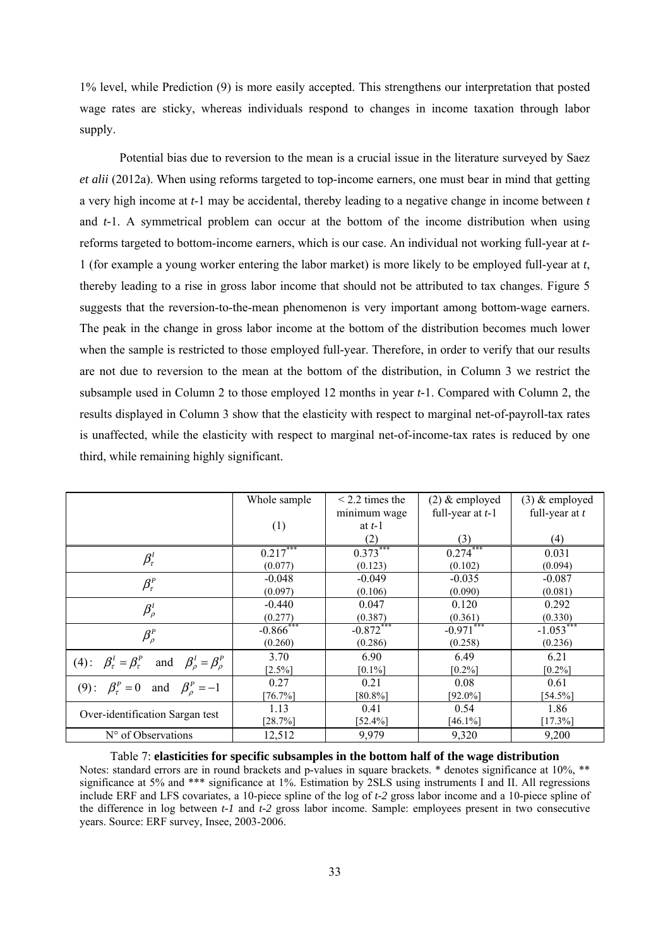1% level, while Prediction (9) is more easily accepted. This strengthens our interpretation that posted wage rates are sticky, whereas individuals respond to changes in income taxation through labor supply.

Potential bias due to reversion to the mean is a crucial issue in the literature surveyed by Saez *et alii* (2012a). When using reforms targeted to top-income earners, one must bear in mind that getting a very high income at *t*-1 may be accidental, thereby leading to a negative change in income between *t* and *t-*1. A symmetrical problem can occur at the bottom of the income distribution when using reforms targeted to bottom-income earners, which is our case. An individual not working full-year at *t-*1 (for example a young worker entering the labor market) is more likely to be employed full-year at *t*, thereby leading to a rise in gross labor income that should not be attributed to tax changes. Figure 5 suggests that the reversion-to-the-mean phenomenon is very important among bottom-wage earners. The peak in the change in gross labor income at the bottom of the distribution becomes much lower when the sample is restricted to those employed full-year. Therefore, in order to verify that our results are not due to reversion to the mean at the bottom of the distribution, in Column 3 we restrict the subsample used in Column 2 to those employed 12 months in year *t-*1. Compared with Column 2, the results displayed in Column 3 show that the elasticity with respect to marginal net-of-payroll-tax rates is unaffected, while the elasticity with respect to marginal net-of-income-tax rates is reduced by one third, while remaining highly significant.

|                                                                              | Whole sample            | $\leq$ 2.2 times the | $(2)$ & employed   | $(3)$ & employed |
|------------------------------------------------------------------------------|-------------------------|----------------------|--------------------|------------------|
|                                                                              |                         | minimum wage         | full-year at $t-1$ | full-year at $t$ |
|                                                                              | (1)                     | at $t-1$             |                    |                  |
|                                                                              |                         | (2)                  | (3)                | (4)              |
| $\beta^{\scriptscriptstyle I}_{\scriptscriptstyle\tau}$                      | 0.217                   | $0.373***$           | 0.274              | 0.031            |
|                                                                              | (0.077)                 | (0.123)              | (0.102)            | (0.094)          |
| $\beta_\tau^{\scriptscriptstyle P}$                                          | $-0.048$                | $-0.049$             | $-0.035$           | $-0.087$         |
|                                                                              | (0.097)                 | (0.106)              | (0.090)            | (0.081)          |
| $\beta^{\scriptscriptstyle I}_\rho$                                          | $-0.440$                | 0.047                | 0.120              | 0.292            |
|                                                                              | (0.277)                 | (0.387)              | (0.361)            | (0.330)          |
| $\beta^{\scriptscriptstyle P}_{\scriptscriptstyle \rho}$                     | $-0.866$ <sup>***</sup> | $-0.872***$          | $-0.971***$        | $-1.053***$      |
|                                                                              | (0.260)                 | (0.286)              | (0.258)            | (0.236)          |
| (4): $\beta_{\tau}^I = \beta_{\tau}^P$ and $\beta_{\rho}^I = \beta_{\rho}^P$ | 3.70                    | 6.90                 | 6.49               | 6.21             |
|                                                                              | $[2.5\%]$               | $[0.1\%]$            | $[0.2\%]$          | [ $0.2\%$ ]      |
| (9): $\beta_r^P = 0$ and $\beta_o^P = -1$                                    | 0.27                    | 0.21                 | 0.08               | 0.61             |
|                                                                              | $76.7\%$                | $[80.8\%]$           | $[92.0\%]$         | $[54.5\%]$       |
| Over-identification Sargan test                                              | 1.13                    | 0.41                 | 0.54               | 1.86             |
|                                                                              | $[28.7\%]$              | $[52.4\%]$           | $[46.1\%]$         | $[17.3\%]$       |
| $N^{\circ}$ of Observations                                                  | 12,512                  | 9,979                | 9,320              | 9,200            |

Table 7: **elasticities for specific subsamples in the bottom half of the wage distribution** Notes: standard errors are in round brackets and p-values in square brackets. \* denotes significance at 10%, \*\* significance at 5% and \*\*\* significance at 1%. Estimation by 2SLS using instruments I and II. All regressions include ERF and LFS covariates, a 10-piece spline of the log of *t-2* gross labor income and a 10-piece spline of the difference in log between *t-1* and *t-2* gross labor income. Sample: employees present in two consecutive years. Source: ERF survey, Insee, 2003-2006.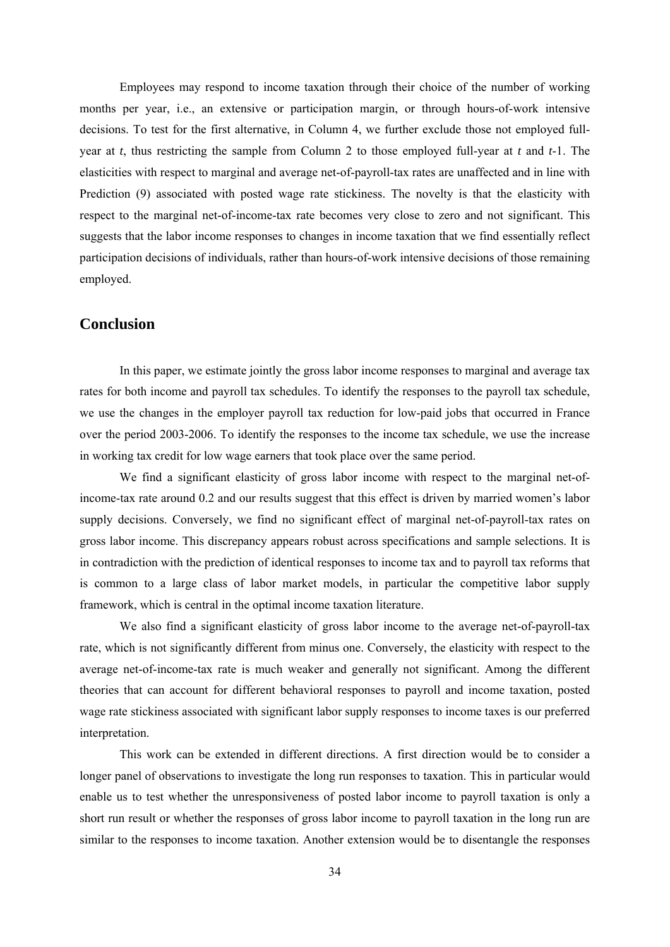Employees may respond to income taxation through their choice of the number of working months per year, i.e., an extensive or participation margin, or through hours-of-work intensive decisions. To test for the first alternative, in Column 4, we further exclude those not employed fullyear at *t*, thus restricting the sample from Column 2 to those employed full-year at *t* and *t*-1. The elasticities with respect to marginal and average net-of-payroll-tax rates are unaffected and in line with Prediction (9) associated with posted wage rate stickiness. The novelty is that the elasticity with respect to the marginal net-of-income-tax rate becomes very close to zero and not significant. This suggests that the labor income responses to changes in income taxation that we find essentially reflect participation decisions of individuals, rather than hours-of-work intensive decisions of those remaining employed.

# **Conclusion**

In this paper, we estimate jointly the gross labor income responses to marginal and average tax rates for both income and payroll tax schedules. To identify the responses to the payroll tax schedule, we use the changes in the employer payroll tax reduction for low-paid jobs that occurred in France over the period 2003-2006. To identify the responses to the income tax schedule, we use the increase in working tax credit for low wage earners that took place over the same period.

We find a significant elasticity of gross labor income with respect to the marginal net-ofincome-tax rate around 0.2 and our results suggest that this effect is driven by married women's labor supply decisions. Conversely, we find no significant effect of marginal net-of-payroll-tax rates on gross labor income. This discrepancy appears robust across specifications and sample selections. It is in contradiction with the prediction of identical responses to income tax and to payroll tax reforms that is common to a large class of labor market models, in particular the competitive labor supply framework, which is central in the optimal income taxation literature.

We also find a significant elasticity of gross labor income to the average net-of-payroll-tax rate, which is not significantly different from minus one. Conversely, the elasticity with respect to the average net-of-income-tax rate is much weaker and generally not significant. Among the different theories that can account for different behavioral responses to payroll and income taxation, posted wage rate stickiness associated with significant labor supply responses to income taxes is our preferred interpretation.

 This work can be extended in different directions. A first direction would be to consider a longer panel of observations to investigate the long run responses to taxation. This in particular would enable us to test whether the unresponsiveness of posted labor income to payroll taxation is only a short run result or whether the responses of gross labor income to payroll taxation in the long run are similar to the responses to income taxation. Another extension would be to disentangle the responses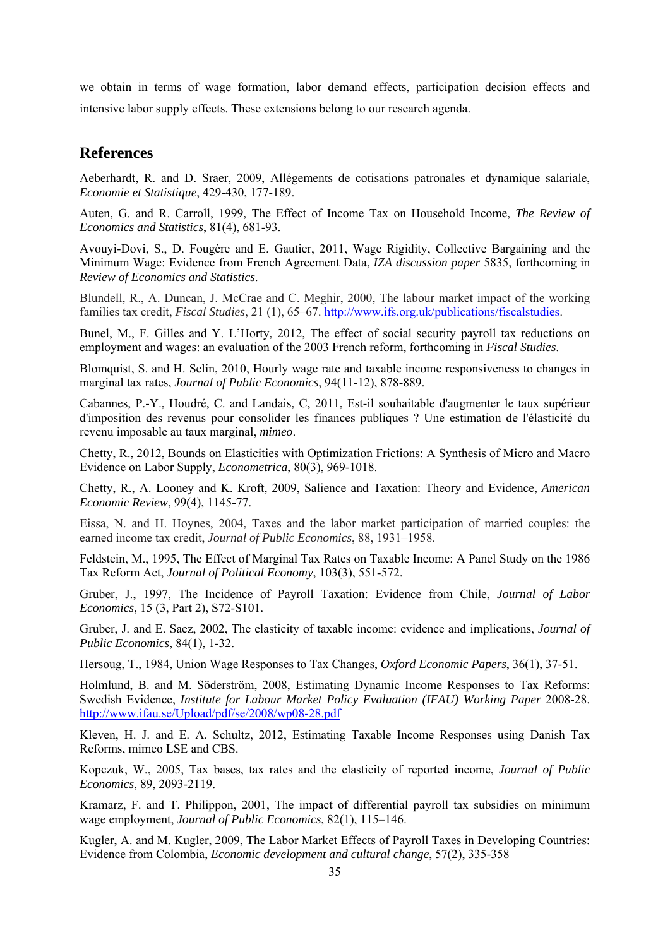we obtain in terms of wage formation, labor demand effects, participation decision effects and intensive labor supply effects. These extensions belong to our research agenda.

# **References**

Aeberhardt, R. and D. Sraer, 2009, Allégements de cotisations patronales et dynamique salariale, *Economie et Statistique*, 429-430, 177-189.

Auten, G. and R. Carroll, 1999, The Effect of Income Tax on Household Income, *The Review of Economics and Statistics*, 81(4), 681-93.

Avouyi-Dovi, S., D. Fougère and E. Gautier, 2011, Wage Rigidity, Collective Bargaining and the Minimum Wage: Evidence from French Agreement Data, *IZA discussion paper* 5835, forthcoming in *Review of Economics and Statistics*.

Blundell, R., A. Duncan, J. McCrae and C. Meghir, 2000, The labour market impact of the working families tax credit, *Fiscal Studies*, 21 (1), 65–67. http://www.ifs.org.uk/publications/fiscalstudies.

Bunel, M., F. Gilles and Y. L'Horty, 2012, The effect of social security payroll tax reductions on employment and wages: an evaluation of the 2003 French reform, forthcoming in *Fiscal Studies*.

Blomquist, S. and H. Selin, 2010, Hourly wage rate and taxable income responsiveness to changes in marginal tax rates, *Journal of Public Economics*, 94(11-12), 878-889.

Cabannes, P.-Y., Houdré, C. and Landais, C, 2011, Est-il souhaitable d'augmenter le taux supérieur d'imposition des revenus pour consolider les finances publiques ? Une estimation de l'élasticité du revenu imposable au taux marginal, *mimeo*.

Chetty, R., 2012, Bounds on Elasticities with Optimization Frictions: A Synthesis of Micro and Macro Evidence on Labor Supply, *Econometrica*, 80(3), 969-1018.

Chetty, R., A. Looney and K. Kroft, 2009, Salience and Taxation: Theory and Evidence, *American Economic Review*, 99(4), 1145-77.

Eissa, N. and H. Hoynes, 2004, Taxes and the labor market participation of married couples: the earned income tax credit, *Journal of Public Economics*, 88, 1931–1958.

Feldstein, M., 1995, The Effect of Marginal Tax Rates on Taxable Income: A Panel Study on the 1986 Tax Reform Act, *Journal of Political Economy*, 103(3), 551-572.

Gruber, J., 1997, The Incidence of Payroll Taxation: Evidence from Chile, *Journal of Labor Economics*, 15 (3, Part 2), S72-S101.

Gruber, J. and E. Saez, 2002, The elasticity of taxable income: evidence and implications, *Journal of Public Economics*, 84(1), 1-32.

Hersoug, T., 1984, Union Wage Responses to Tax Changes, *Oxford Economic Papers*, 36(1), 37-51.

Holmlund, B. and M. Söderström, 2008, Estimating Dynamic Income Responses to Tax Reforms: Swedish Evidence, *Institute for Labour Market Policy Evaluation (IFAU) Working Paper* 2008-28. http://www.ifau.se/Upload/pdf/se/2008/wp08-28.pdf

Kleven, H. J. and E. A. Schultz, 2012, Estimating Taxable Income Responses using Danish Tax Reforms, mimeo LSE and CBS.

Kopczuk, W., 2005, Tax bases, tax rates and the elasticity of reported income, *Journal of Public Economics*, 89, 2093-2119.

Kramarz, F. and T. Philippon, 2001, The impact of differential payroll tax subsidies on minimum wage employment, *Journal of Public Economics*, 82(1), 115–146.

Kugler, A. and M. Kugler, 2009, The Labor Market Effects of Payroll Taxes in Developing Countries: Evidence from Colombia, *Economic development and cultural change*, 57(2), 335-358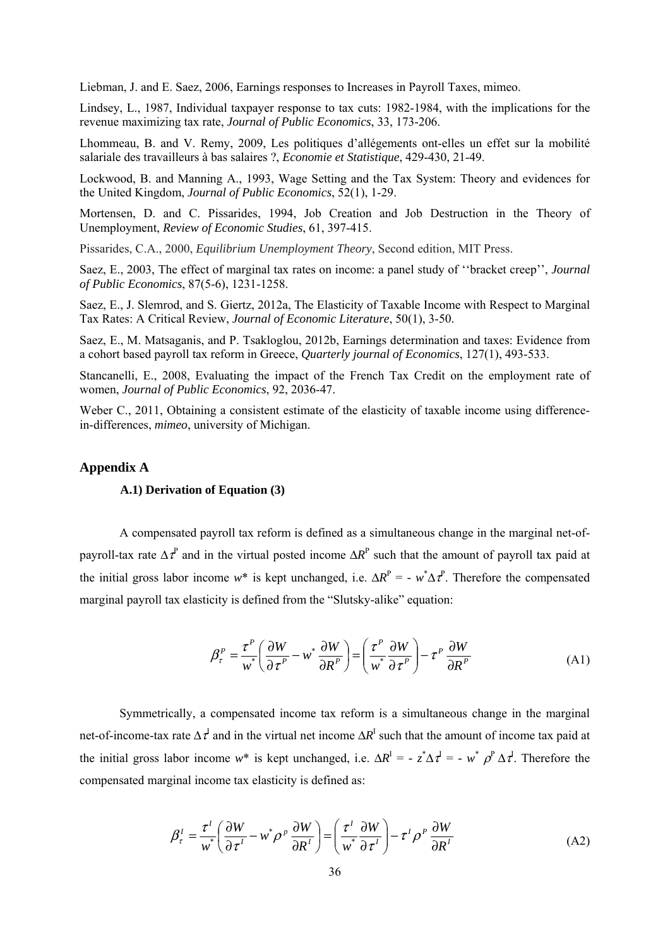Liebman, J. and E. Saez, 2006, Earnings responses to Increases in Payroll Taxes, mimeo.

Lindsey, L., 1987, Individual taxpayer response to tax cuts: 1982-1984, with the implications for the revenue maximizing tax rate, *Journal of Public Economics*, 33, 173-206.

Lhommeau, B. and V. Remy, 2009, Les politiques d'allégements ont-elles un effet sur la mobilité salariale des travailleurs à bas salaires ?, *Economie et Statistique*, 429-430, 21-49.

Lockwood, B. and Manning A., 1993, Wage Setting and the Tax System: Theory and evidences for the United Kingdom, *Journal of Public Economics*, 52(1), 1-29.

Mortensen, D. and C. Pissarides, 1994, Job Creation and Job Destruction in the Theory of Unemployment, *Review of Economic Studies*, 61, 397-415.

Pissarides, C.A., 2000, *Equilibrium Unemployment Theory*, Second edition, MIT Press.

Saez, E., 2003, The effect of marginal tax rates on income: a panel study of ''bracket creep'', *Journal of Public Economics*, 87(5-6), 1231-1258.

Saez, E., J. Slemrod, and S. Giertz, 2012a, The Elasticity of Taxable Income with Respect to Marginal Tax Rates: A Critical Review, *Journal of Economic Literature*, 50(1), 3-50.

Saez, E., M. Matsaganis, and P. Tsakloglou, 2012b, Earnings determination and taxes: Evidence from a cohort based payroll tax reform in Greece, *Quarterly journal of Economics*, 127(1), 493-533.

Stancanelli, E., 2008, Evaluating the impact of the French Tax Credit on the employment rate of women, *Journal of Public Economics*, 92, 2036-47.

Weber C., 2011, Obtaining a consistent estimate of the elasticity of taxable income using differencein-differences, *mimeo*, university of Michigan.

#### **Appendix A**

#### **A.1) Derivation of Equation (3)**

A compensated payroll tax reform is defined as a simultaneous change in the marginal net-ofpayroll-tax rate  $\Delta \tau^P$  and in the virtual posted income  $\Delta R^P$  such that the amount of payroll tax paid at the initial gross labor income  $w^*$  is kept unchanged, i.e.  $\Delta R^P = -w^* \Delta \tau^P$ . Therefore the compensated marginal payroll tax elasticity is defined from the "Slutsky-alike" equation:

$$
\beta_{\tau}^{P} = \frac{\tau^{P}}{w^{*}} \left( \frac{\partial W}{\partial \tau^{P}} - w^{*} \frac{\partial W}{\partial R^{P}} \right) = \left( \frac{\tau^{P}}{w^{*}} \frac{\partial W}{\partial \tau^{P}} \right) - \tau^{P} \frac{\partial W}{\partial R^{P}}
$$
(A1)

Symmetrically, a compensated income tax reform is a simultaneous change in the marginal net-of-income-tax rate  $\Delta \tau^I$  and in the virtual net income  $\Delta R^I$  such that the amount of income tax paid at the initial gross labor income  $w^*$  is kept unchanged, i.e.  $\Delta R^{\text{I}} = -z^* \Delta \tau^{\text{I}} = -w^* \rho^{\text{P}} \Delta \tau^{\text{I}}$ . Therefore the compensated marginal income tax elasticity is defined as:

$$
\beta_{\tau}^{I} = \frac{\tau^{I}}{w^{*}} \left( \frac{\partial W}{\partial \tau^{I}} - w^{*} \rho^{p} \frac{\partial W}{\partial R^{I}} \right) = \left( \frac{\tau^{I}}{w^{*}} \frac{\partial W}{\partial \tau^{I}} \right) - \tau^{I} \rho^{p} \frac{\partial W}{\partial R^{I}}
$$
(A2)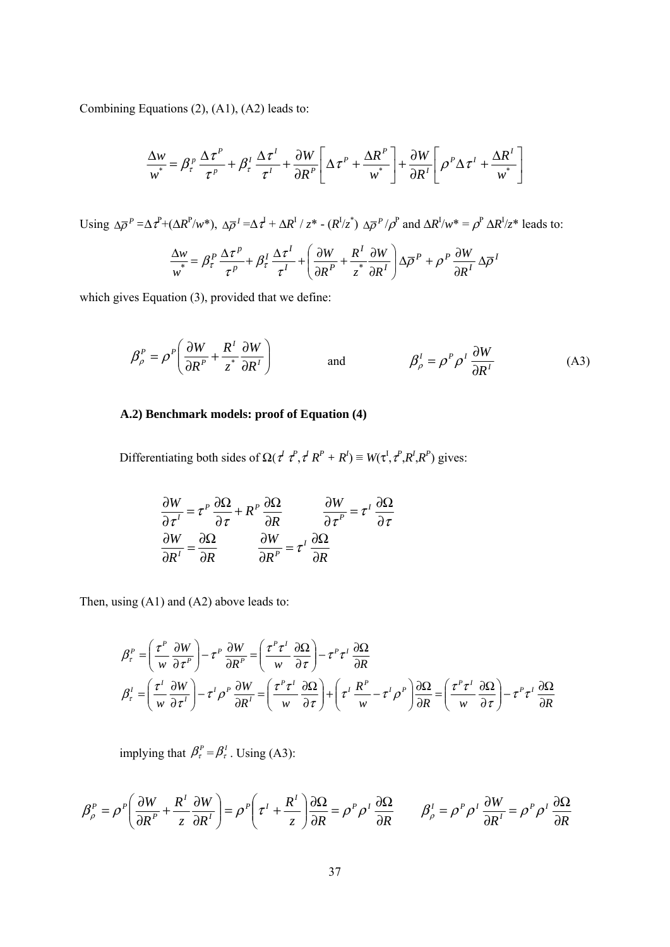Combining Equations (2), (A1), (A2) leads to:

$$
\frac{\Delta w}{w^*} = \beta_r^p \frac{\Delta \tau^P}{\tau^p} + \beta_t^I \frac{\Delta \tau^I}{\tau^I} + \frac{\partial W}{\partial R^P} \left[ \Delta \tau^P + \frac{\Delta R^P}{w^*} \right] + \frac{\partial W}{\partial R^I} \left[ \rho^P \Delta \tau^I + \frac{\Delta R^I}{w^*} \right]
$$

Using  $\Delta \overline{\rho}^P = \Delta \overline{\tau}^P + (\Delta R^P/w^*)$ ,  $\Delta \overline{\rho}^I = \Delta \overline{\tau}^I + \Delta R^I / z^* - (R^I / z^*) \Delta \overline{\rho}^P / \rho^P$  and  $\Delta R^I/w^* = \rho^P \Delta R^I / z^*$  leads to:

$$
\frac{\Delta w}{w^*} = \beta_r^P \frac{\Delta \tau^P}{\tau^P} + \beta_t^I \frac{\Delta \tau^I}{\tau^I} + \left(\frac{\partial W}{\partial R^P} + \frac{R^I}{z^*} \frac{\partial W}{\partial R^I}\right) \Delta \overline{\rho}^P + \rho^P \frac{\partial W}{\partial R^I} \Delta \overline{\rho}^I
$$

which gives Equation (3), provided that we define:

$$
\beta_{\rho}^{P} = \rho^{P} \left( \frac{\partial W}{\partial R^{P}} + \frac{R^{I}}{z^{*}} \frac{\partial W}{\partial R^{I}} \right) \quad \text{and} \quad \beta_{\rho}^{I} = \rho^{P} \rho^{I} \frac{\partial W}{\partial R^{I}} \quad (A3)
$$

## **A.2) Benchmark models: proof of Equation (4)**

Differentiating both sides of  $\Omega(\tau^I \tau^P, \tau^I R^P + R^I) \equiv W(\tau^I, \tau^P, R^I, R^P)$  gives:

$$
\frac{\partial W}{\partial \tau'} = \tau^P \frac{\partial \Omega}{\partial \tau} + R^P \frac{\partial \Omega}{\partial R} \qquad \frac{\partial W}{\partial \tau'} = \tau^I \frac{\partial \Omega}{\partial \tau}
$$

$$
\frac{\partial W}{\partial R'} = \frac{\partial \Omega}{\partial R} \qquad \frac{\partial W}{\partial R'} = \tau^I \frac{\partial \Omega}{\partial R}
$$

Then, using (A1) and (A2) above leads to:

$$
\beta_{\tau}^{P} = \left(\frac{\tau^{P}}{w} \frac{\partial W}{\partial \tau^{P}}\right) - \tau^{P} \frac{\partial W}{\partial R^{P}} = \left(\frac{\tau^{P} \tau^{I}}{w} \frac{\partial \Omega}{\partial \tau}\right) - \tau^{P} \tau^{I} \frac{\partial \Omega}{\partial R}
$$
\n
$$
\beta_{\tau}^{I} = \left(\frac{\tau^{I}}{w} \frac{\partial W}{\partial \tau^{I}}\right) - \tau^{I} \rho^{P} \frac{\partial W}{\partial R^{I}} = \left(\frac{\tau^{P} \tau^{I}}{w} \frac{\partial \Omega}{\partial \tau}\right) + \left(\tau^{I} \frac{R^{P}}{w} - \tau^{I} \rho^{P}\right) \frac{\partial \Omega}{\partial R} = \left(\frac{\tau^{P} \tau^{I}}{w} \frac{\partial \Omega}{\partial \tau}\right) - \tau^{P} \tau^{I} \frac{\partial \Omega}{\partial R}
$$

implying that  $\beta_{\tau}^P = \beta_{\tau}^I$ . Using (A3):

$$
\beta_{\rho}^{P} = \rho^{P} \left( \frac{\partial W}{\partial R^{P}} + \frac{R^{I}}{z} \frac{\partial W}{\partial R^{I}} \right) = \rho^{P} \left( \tau^{I} + \frac{R^{I}}{z} \right) \frac{\partial \Omega}{\partial R} = \rho^{P} \rho^{I} \frac{\partial \Omega}{\partial R} \qquad \beta_{\rho}^{I} = \rho^{P} \rho^{I} \frac{\partial W}{\partial R^{I}} = \rho^{P} \rho^{I} \frac{\partial \Omega}{\partial R}
$$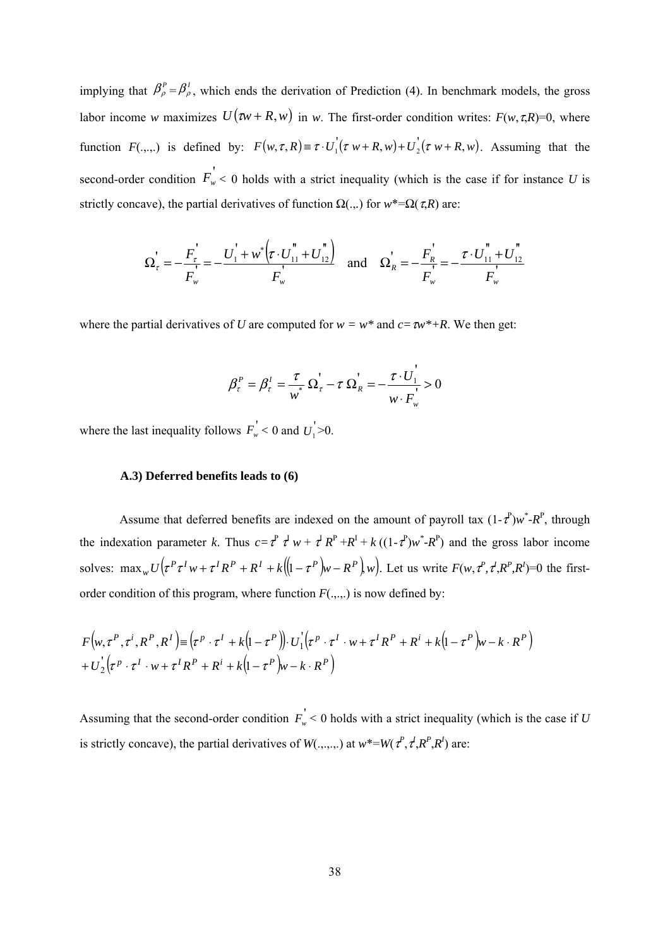implying that  $\beta_{\rho}^P = \beta_{\rho}^I$ , which ends the derivation of Prediction (4). In benchmark models, the gross labor income *w* maximizes  $U(w + R, w)$  in *w*. The first-order condition writes:  $F(w, \tau, R) = 0$ , where function  $F(.,.,.)$  is defined by:  $F(w, \tau, R) = \tau \cdot U_1'(\tau w + R, w) + U_2'(\tau w + R, w)$ . Assuming that the second-order condition  $F_w$  < 0 holds with a strict inequality (which is the case if for instance *U* is strictly concave), the partial derivatives of function  $\Omega$ (...) for  $w^* = \Omega(\tau, R)$  are:

$$
\Omega_{\tau}^{'} = -\frac{F_{\tau}^{'} }{F_{w}^{'} } = -\frac{U_{1}^{'} + w^{*} \left(\tau \cdot U_{11}^{''} + U_{12}^{''}\right)}{F_{w}^{'} }
$$
 and 
$$
\Omega_{R}^{'} = -\frac{F_{R}^{'} }{F_{w}^{'} } = -\frac{\tau \cdot U_{11}^{''} + U_{12}^{''}}{F_{w}^{'} }
$$

where the partial derivatives of *U* are computed for  $w = w^*$  and  $c = \tau w^* + R$ . We then get:

$$
\beta_{\tau}^{P} = \beta_{\tau}^{I} = \frac{\tau}{w^{*}} \Omega_{\tau}^{'} - \tau \Omega_{R}^{'} = -\frac{\tau \cdot U_{1}^{'} }{w \cdot F_{w}^{'} } > 0
$$

where the last inequality follows  $F_w' < 0$  and  $U_1' > 0$ .

#### **A.3) Deferred benefits leads to (6)**

Assume that deferred benefits are indexed on the amount of payroll tax  $(1 - t^p)w^*$ - $R^p$ , through the indexation parameter *k*. Thus  $c = t^p t^p + t^q R^p + R^I + k((1-t^p)w^* - R^P)$  and the gross labor income solves:  $\max_{w} U(\tau^P \tau^I w + \tau^I R^P + R^I + k((1 - \tau^P) w - R^P) w)$ . Let us write  $F(w, \tau^P, \tau^I, R^P, R^I) = 0$  the firstorder condition of this program, where function  $F(.,.)$  is now defined by:

$$
F(w, \tau^P, \tau^i, R^P, R^I) \equiv (\tau^P \cdot \tau^I + k(1 - \tau^P)) \cdot U_1'(\tau^P \cdot \tau^I \cdot w + \tau^I R^P + R^i + k(1 - \tau^P)w - k \cdot R^P)
$$
  
+ 
$$
U_2'(\tau^P \cdot \tau^I \cdot w + \tau^I R^P + R^i + k(1 - \tau^P)w - k \cdot R^P)
$$

Assuming that the second-order condition  $F_w$  < 0 holds with a strict inequality (which is the case if *U* is strictly concave), the partial derivatives of  $W(.,...,.)$  at  $w^* = W(\tau^P, \tau^I, R^P, R^I)$  are: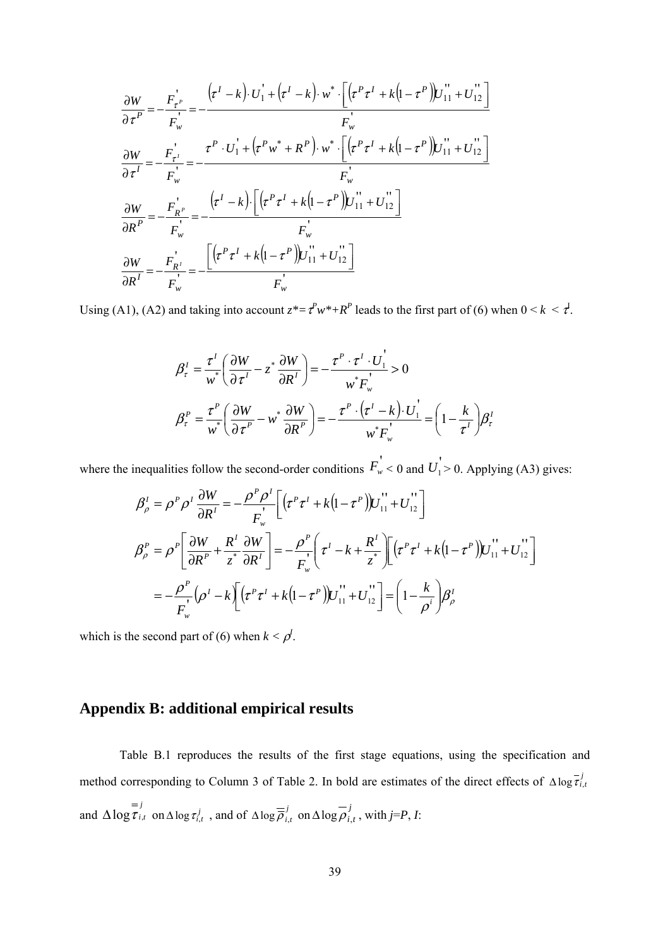$$
\frac{\partial W}{\partial \tau^P} = -\frac{F_{\tau^P}^{'}}{F_w^{'}} = -\frac{(\tau^I - k) \cdot U_1^{'} + (\tau^I - k) \cdot w^* \cdot \left[ (\tau^P \tau^I + k(1 - \tau^P)) U_{11}^{''} + U_{12}^{''} \right]}{F_w^{'}}
$$
\n
$$
\frac{\partial W}{\partial \tau^I} = -\frac{F_{\tau^I}^{'}}{F_w^{'}} = -\frac{\tau^P \cdot U_1^{'} + (\tau^P w^* + R^P) \cdot w^* \cdot \left[ (\tau^P \tau^I + k(1 - \tau^P)) U_{11}^{''} + U_{12}^{''} \right]}{F_w^{'}}
$$
\n
$$
\frac{\partial W}{\partial R^P} = -\frac{F_{R^P}^{'}}{F_w^{'}} = -\frac{(\tau^I - k) \cdot \left[ (\tau^P \tau^I + k(1 - \tau^P)) U_{11}^{''} + U_{12}^{''} \right]}{F_w^{'}}
$$
\n
$$
\frac{\partial W}{\partial R^I} = -\frac{F_{R^I}^{'}}{F_w^{'}} = -\frac{\left[ (\tau^P \tau^I + k(1 - \tau^P)) U_{11}^{''} + U_{12}^{''} \right]}{F_w^{'}}
$$

Using (A1), (A2) and taking into account  $z^* = z^P w^* + R^P$  leads to the first part of (6) when  $0 \le k \le \tau^I$ .

$$
\beta_{\tau}^{I} = \frac{\tau^{I}}{w^{*}} \left( \frac{\partial W}{\partial \tau^{I}} - z^{*} \frac{\partial W}{\partial R^{I}} \right) = -\frac{\tau^{P} \cdot \tau^{I} \cdot U_{1}^{'} }{w^{*} F_{w}^{'} } > 0
$$
\n
$$
\beta_{\tau}^{P} = \frac{\tau^{P}}{w^{*}} \left( \frac{\partial W}{\partial \tau^{P}} - w^{*} \frac{\partial W}{\partial R^{P}} \right) = -\frac{\tau^{P} \cdot (\tau^{I} - k) \cdot U_{1}^{'} }{w^{*} F_{w}^{'} } = \left( 1 - \frac{k}{\tau^{I}} \right) \beta_{\tau}^{I}
$$

where the inequalities follow the second-order conditions  $F_w$  < 0 and  $U_1$  > 0. Applying (A3) gives:

$$
\beta_{\rho}^{I} = \rho^{P} \rho^{I} \frac{\partial W}{\partial R^{I}} = -\frac{\rho^{P} \rho^{I}}{F_{w}^{I}} \bigg[ \left( \tau^{P} \tau^{I} + k \left( 1 - \tau^{P} \right) \right) U_{11}^{I} + U_{12}^{I^{II}} \bigg]
$$
\n
$$
\beta_{\rho}^{P} = \rho^{P} \bigg[ \frac{\partial W}{\partial R^{P}} + \frac{R^{I}}{z^{*}} \frac{\partial W}{\partial R^{I}} \bigg] = -\frac{\rho^{P}}{F_{w}^{I}} \bigg( \tau^{I} - k + \frac{R^{I}}{z^{*}} \bigg) \bigg[ \left( \tau^{P} \tau^{I} + k \left( 1 - \tau^{P} \right) \right) U_{11}^{I^{I}} + U_{12}^{I^{II}} \bigg]
$$
\n
$$
= -\frac{\rho^{P}}{F_{w}^{I}} \bigg( \rho^{I} - k \bigg[ \left( \tau^{P} \tau^{I} + k \left( 1 - \tau^{P} \right) \right) U_{11}^{I^{I}} + U_{12}^{I^{II}} \bigg] = \bigg( 1 - \frac{k}{\rho^{i}} \bigg) \beta_{\rho}^{I}
$$

which is the second part of (6) when  $k < \rho^l$ .

# **Appendix B: additional empirical results**

Table B.1 reproduces the results of the first stage equations, using the specification and method corresponding to Column 3 of Table 2. In bold are estimates of the direct effects of  $\Delta \log \overline{\tau}_{i,t}^j$ and  $\Delta \log \tau_{i,t}^{j}$  on  $\Delta \log \tau_{i,t}^{j}$ , and of  $\Delta \log \overline{\overline{\rho}}_{i,t}^{j}$  on  $\Delta \log \overline{\rho}_{i,t}^{j}$ , with *j*=*P*, *I*: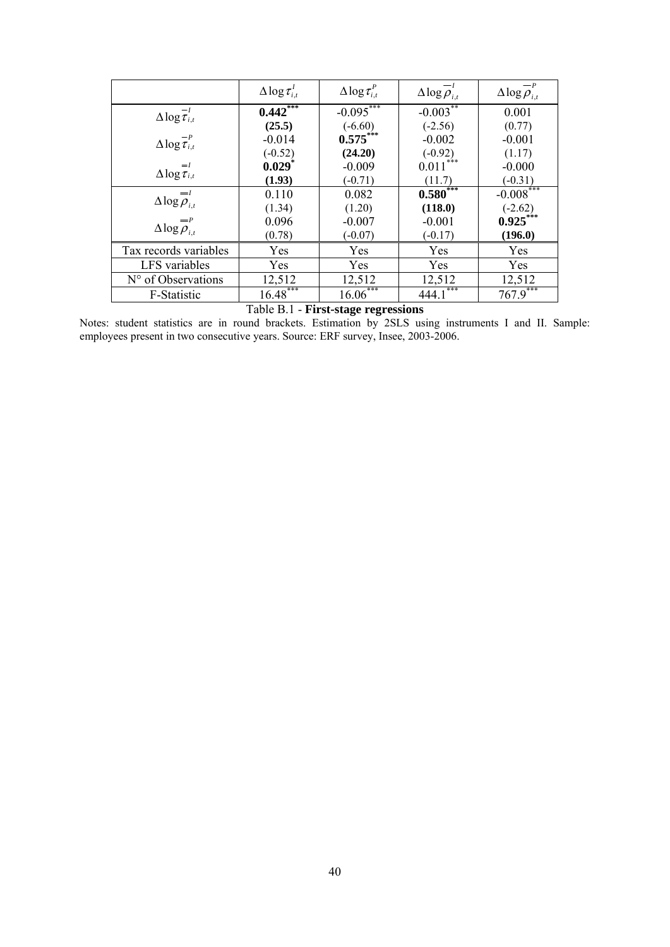|                                          | $\Delta \log \tau_{i,t}^I$ | $\Delta \log \tau_{i,t}^P$ | $\Delta \log \overline{\rho}_{i,t}^{I}$ | $\Delta \log \overline{\rho}_{i,t}^{P}$ |
|------------------------------------------|----------------------------|----------------------------|-----------------------------------------|-----------------------------------------|
| $\Delta \log \overline{\tau}_{i,t}^{I}$  | $0.442***$                 | $-0.095***$                | $-0.003$ **                             | 0.001                                   |
|                                          | (25.5)                     | $(-6.60)$                  | $(-2.56)$                               | (0.77)                                  |
| $\Delta \log \overline{\tau}_{i,t}^{-P}$ | $-0.014$                   | $0.575***$                 | $-0.002$                                | $-0.001$                                |
|                                          | $(-0.52)$                  | (24.20)                    | $(-0.92)$                               | (1.17)                                  |
| $=$ I                                    | 0.029                      | $-0.009$                   | $0.011***$                              | $-0.000$                                |
| $\Delta$ log $\tau_{i,t}$                | (1.93)                     | $(-0.71)$                  | (11.7)                                  | $(-0.31)$                               |
| $=$ I                                    | 0.110                      | 0.082                      | $0.580***$                              | $-0.008$ <sup>***</sup>                 |
| $\Delta \log \rho_{_{i,t}}$              | (1.34)                     | (1.20)                     | (118.0)                                 | $(-2.62)$                               |
| $\Delta \log \frac{-P}{\rho_{i,t}}$      | 0.096                      | $-0.007$                   | $-0.001$                                | $0.925***$                              |
|                                          | (0.78)                     | $(-0.07)$                  | $(-0.17)$                               | (196.0)                                 |
| Tax records variables                    | Yes                        | Yes                        | Yes                                     | Yes                                     |
| LFS variables                            | Yes                        | Yes                        | Yes                                     | Yes                                     |
| N° of Observations                       | 12,512                     | 12,512                     | 12,512                                  | 12,512                                  |
| F-Statistic                              | $16.48***$                 | $16.06***$                 | $444.1***$                              | $767.9$ <sup>***</sup>                  |

Table B.1 - **First-stage regressions** 

Notes: student statistics are in round brackets. Estimation by 2SLS using instruments I and II. Sample: employees present in two consecutive years. Source: ERF survey, Insee, 2003-2006.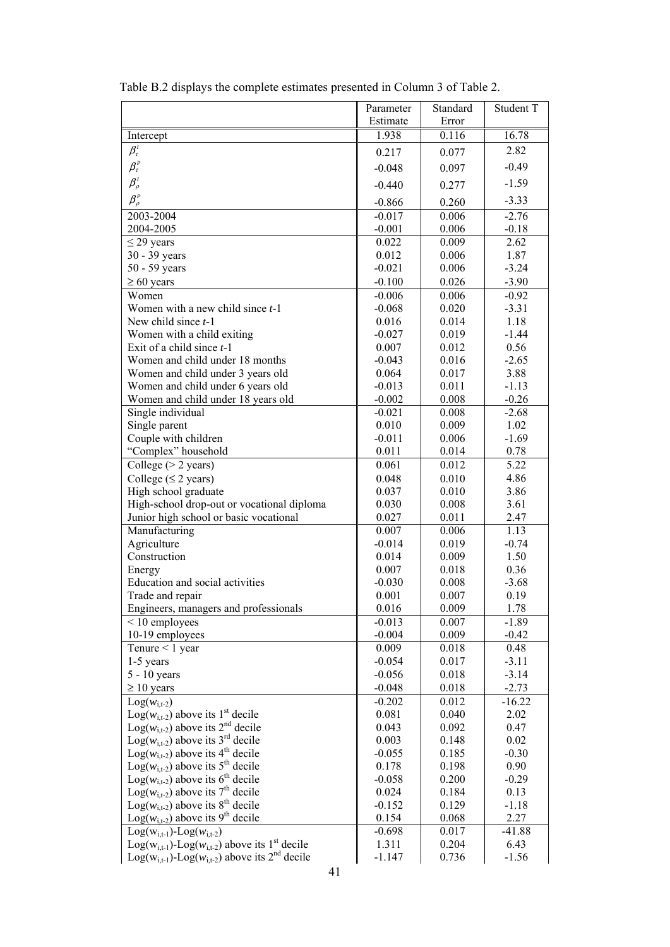|                                                                        | Parameter      | Standard       | Student T    |
|------------------------------------------------------------------------|----------------|----------------|--------------|
|                                                                        | Estimate       | Error          |              |
| Intercept                                                              | 1.938          | 0.116          | 16.78        |
| $\beta_{\tau}^{\scriptscriptstyle I}$                                  | 0.217          | 0.077          | 2.82         |
| $\beta_\tau^{\scriptscriptstyle P}$                                    | $-0.048$       | 0.097          | $-0.49$      |
| $\beta^{\scriptscriptstyle I}_{\scriptscriptstyle \rho}$               | $-0.440$       | 0.277          | $-1.59$      |
| $\beta^{\scriptscriptstyle P}_{\scriptscriptstyle \rho}$               | $-0.866$       | 0.260          | $-3.33$      |
| 2003-2004                                                              | $-0.017$       | 0.006          | $-2.76$      |
| 2004-2005                                                              | $-0.001$       | 0.006          | $-0.18$      |
| $\leq$ 29 years                                                        | 0.022          | 0.009          | 2.62         |
| 30 - 39 years                                                          | 0.012          | 0.006          | 1.87         |
| 50 - 59 years                                                          | $-0.021$       | 0.006          | $-3.24$      |
| $\geq 60$ years                                                        | $-0.100$       | 0.026          | $-3.90$      |
| Women                                                                  | $-0.006$       | 0.006          | $-0.92$      |
| Women with a new child since $t-1$                                     | $-0.068$       | 0.020          | $-3.31$      |
| New child since $t-1$                                                  | 0.016          | 0.014          | 1.18         |
| Women with a child exiting                                             | $-0.027$       | 0.019          | $-1.44$      |
| Exit of a child since $t-1$                                            | 0.007          | 0.012          | 0.56         |
| Women and child under 18 months                                        | $-0.043$       | 0.016          | $-2.65$      |
| Women and child under 3 years old                                      | 0.064          | 0.017          | 3.88         |
| Women and child under 6 years old                                      | $-0.013$       | 0.011          | $-1.13$      |
| Women and child under 18 years old                                     | $-0.002$       | 0.008          | $-0.26$      |
| Single individual                                                      | $-0.021$       | 0.008          | $-2.68$      |
| Single parent                                                          | 0.010          | 0.009          | 1.02         |
| Couple with children                                                   | $-0.011$       | 0.006          | $-1.69$      |
| "Complex" household                                                    | 0.011          | 0.014          | 0.78         |
| College $(> 2 \text{ years})$                                          | 0.061          | 0.012          | 5.22         |
| College $( \leq 2 \text{ years})$                                      | 0.048          | 0.010          | 4.86         |
| High school graduate                                                   | 0.037          | 0.010          | 3.86         |
| High-school drop-out or vocational diploma                             | 0.030          | 0.008          | 3.61         |
| Junior high school or basic vocational                                 | 0.027          | 0.011          | 2.47         |
| Manufacturing                                                          | 0.007          | 0.006          | 1.13         |
| Agriculture                                                            | $-0.014$       | 0.019          | $-0.74$      |
| Construction                                                           | 0.014<br>0.007 | 0.009<br>0.018 | 1.50<br>0.36 |
| Energy<br>Education and social activities                              | $-0.030$       | 0.008          | $-3.68$      |
| Trade and repair                                                       | 0.001          | 0.007          | 0.19         |
| Engineers, managers and professionals                                  | 0.016          | 0.009          | 1.78         |
| $<$ 10 employees                                                       | $-0.013$       | 0.007          | $-1.89$      |
| 10-19 employees                                                        | $-0.004$       | 0.009          | $-0.42$      |
| Tenure $\leq 1$ year                                                   | 0.009          | 0.018          | 0.48         |
| $1-5$ years                                                            | $-0.054$       | 0.017          | $-3.11$      |
| $5 - 10$ years                                                         | $-0.056$       | 0.018          | $-3.14$      |
| $\geq 10$ years                                                        | $-0.048$       | 0.018          | $-2.73$      |
| $Log(w_{i,t-2})$                                                       | $-0.202$       | 0.012          | $-16.22$     |
| Log( $w_{i,t-2}$ ) above its 1 <sup>st</sup> decile                    | 0.081          | 0.040          | 2.02         |
| $Log(w_{i,t-2})$ above its 2 <sup>nd</sup> decile                      | 0.043          | 0.092          | 0.47         |
| Log( $w_{i,t-2}$ ) above its 3 <sup>rd</sup> decile                    | 0.003          | 0.148          | 0.02         |
| Log( $w_{i,t-2}$ ) above its 4 <sup>th</sup> decile                    | $-0.055$       | 0.185          | $-0.30$      |
| Log( $w_{i,t-2}$ ) above its 5 <sup>th</sup> decile                    | 0.178          | 0.198          | 0.90         |
| Log( $w_{i,t-2}$ ) above its 6 <sup>th</sup> decile                    | $-0.058$       | 0.200          | $-0.29$      |
| Log( $w_{i,t-2}$ ) above its 7 <sup>th</sup> decile                    | 0.024          | 0.184          | 0.13         |
| Log( $w_{i,t-2}$ ) above its 8 <sup>th</sup> decile                    | $-0.152$       | 0.129          | $-1.18$      |
| Log( $w_{i,t-2}$ ) above its 9 <sup>th</sup> decile                    | 0.154          | 0.068          | 2.27         |
| $Log(w_{i,t-1})-Log(w_{i,t-2})$                                        | $-0.698$       | 0.017          | $-41.88$     |
| $Log(w_{i,t-1})-Log(w_{i,t-2})$ above its 1 <sup>st</sup> decile       | 1.311          | 0.204          | 6.43         |
| Log( $w_{i,t-1}$ )-Log( $w_{i,t-2}$ ) above its 2 <sup>nd</sup> decile | $-1.147$       | 0.736          | $-1.56$      |

Table B.2 displays the complete estimates presented in Column 3 of Table 2.